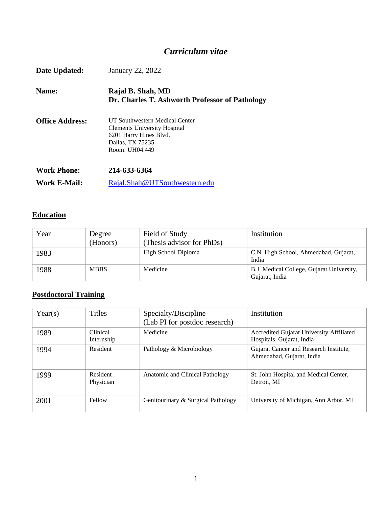# *Curriculum vitae*

| Date Updated:          | January 22, 2022                                                                                                                      |
|------------------------|---------------------------------------------------------------------------------------------------------------------------------------|
| Name:                  | Rajal B. Shah, MD<br>Dr. Charles T. Ashworth Professor of Pathology                                                                   |
| <b>Office Address:</b> | UT Southwestern Medical Center<br><b>Clements University Hospital</b><br>6201 Harry Hines Blvd.<br>Dallas, TX 75235<br>Room: UH04.449 |
| <b>Work Phone:</b>     | 214-633-6364                                                                                                                          |
| Work E-Mail:           | Rajal.Shah@UTSouthwestern.edu                                                                                                         |

# **Education**

| Year | Degree<br>(Honors) | Field of Study<br>(Thesis advisor for PhDs) | Institution                                                 |
|------|--------------------|---------------------------------------------|-------------------------------------------------------------|
| 1983 |                    | High School Diploma                         | C.N. High School, Ahmedabad, Gujarat,<br>India              |
| 1988 | <b>MBBS</b>        | Medicine                                    | B.J. Medical College, Gujarat University,<br>Gujarat, India |

# **Postdoctoral Training**

| Year(s) | <b>Titles</b>                 | Specialty/Discipline<br>(Lab PI for postdoc research) | Institution                                                           |
|---------|-------------------------------|-------------------------------------------------------|-----------------------------------------------------------------------|
| 1989    | <b>Clinical</b><br>Internship | Medicine                                              | Accredited Gujarat University Affiliated<br>Hospitals, Gujarat, India |
| 1994    | Resident                      | Pathology & Microbiology                              | Gujarat Cancer and Research Institute,<br>Ahmedabad, Gujarat, India   |
| 1999    | Resident<br>Physician         | Anatomic and Clinical Pathology                       | St. John Hospital and Medical Center,<br>Detroit, MI                  |
| 2001    | Fellow                        | Genitourinary & Surgical Pathology                    | University of Michigan, Ann Arbor, MI                                 |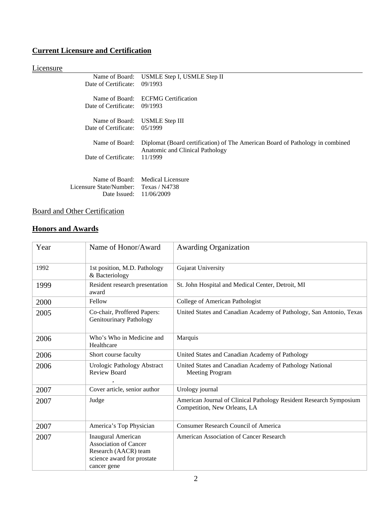# **Current Licensure and Certification**

# **Licensure**

| Date of Certificate:                   | Name of Board: USMLE Step I, USMLE Step II<br>09/1993                                                            |
|----------------------------------------|------------------------------------------------------------------------------------------------------------------|
| Date of Certificate:                   | Name of Board: ECFMG Certification<br>09/1993                                                                    |
| Name of Board:<br>Date of Certificate: | USMLE Step III<br>05/1999                                                                                        |
| Name of Board:                         | Diplomat (Board certification) of The American Board of Pathology in combined<br>Anatomic and Clinical Pathology |
| Date of Certificate:                   | 11/1999                                                                                                          |
| Licensure State/Number: Texas / N4738  | Name of Board: Medical Licensure                                                                                 |
| Date Issued:                           | 11/06/2009                                                                                                       |

# Board and Other Certification

# **Honors and Awards**

| Year | Name of Honor/Award                                                                                                            | <b>Awarding Organization</b>                                                                       |
|------|--------------------------------------------------------------------------------------------------------------------------------|----------------------------------------------------------------------------------------------------|
| 1992 | 1st position, M.D. Pathology<br>& Bacteriology                                                                                 | Gujarat University                                                                                 |
| 1999 | Resident research presentation<br>award                                                                                        | St. John Hospital and Medical Center, Detroit, MI                                                  |
| 2000 | Fellow                                                                                                                         | College of American Pathologist                                                                    |
| 2005 | Co-chair, Proffered Papers:<br><b>Genitourinary Pathology</b>                                                                  | United States and Canadian Academy of Pathology, San Antonio, Texas                                |
| 2006 | Who's Who in Medicine and<br>Healthcare                                                                                        | Marquis                                                                                            |
| 2006 | Short course faculty                                                                                                           | United States and Canadian Academy of Pathology                                                    |
| 2006 | Urologic Pathology Abstract<br><b>Review Board</b>                                                                             | United States and Canadian Academy of Pathology National<br><b>Meeting Program</b>                 |
| 2007 | Cover article, senior author                                                                                                   | Urology journal                                                                                    |
| 2007 | Judge                                                                                                                          | American Journal of Clinical Pathology Resident Research Symposium<br>Competition, New Orleans, LA |
| 2007 | America's Top Physician                                                                                                        | <b>Consumer Research Council of America</b>                                                        |
| 2007 | <b>Inaugural American</b><br><b>Association of Cancer</b><br>Research (AACR) team<br>science award for prostate<br>cancer gene | American Association of Cancer Research                                                            |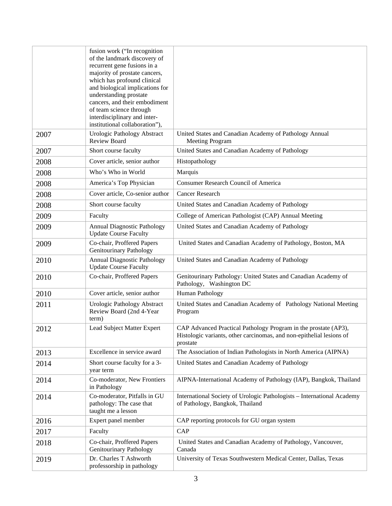|      | fusion work ("In recognition<br>of the landmark discovery of<br>recurrent gene fusions in a<br>majority of prostate cancers,<br>which has profound clinical<br>and biological implications for<br>understanding prostate<br>cancers, and their embodiment<br>of team science through<br>interdisciplinary and inter-<br>institutional collaboration"), |                                                                                                                                                     |
|------|--------------------------------------------------------------------------------------------------------------------------------------------------------------------------------------------------------------------------------------------------------------------------------------------------------------------------------------------------------|-----------------------------------------------------------------------------------------------------------------------------------------------------|
| 2007 | <b>Urologic Pathology Abstract</b><br><b>Review Board</b>                                                                                                                                                                                                                                                                                              | United States and Canadian Academy of Pathology Annual<br><b>Meeting Program</b>                                                                    |
| 2007 | Short course faculty                                                                                                                                                                                                                                                                                                                                   | United States and Canadian Academy of Pathology                                                                                                     |
| 2008 | Cover article, senior author                                                                                                                                                                                                                                                                                                                           | Histopathology                                                                                                                                      |
| 2008 | Who's Who in World                                                                                                                                                                                                                                                                                                                                     | Marquis                                                                                                                                             |
| 2008 | America's Top Physician                                                                                                                                                                                                                                                                                                                                | <b>Consumer Research Council of America</b>                                                                                                         |
| 2008 | Cover article, Co-senior author                                                                                                                                                                                                                                                                                                                        | <b>Cancer Research</b>                                                                                                                              |
| 2008 | Short course faculty                                                                                                                                                                                                                                                                                                                                   | United States and Canadian Academy of Pathology                                                                                                     |
| 2009 | Faculty                                                                                                                                                                                                                                                                                                                                                | College of American Pathologist (CAP) Annual Meeting                                                                                                |
| 2009 | <b>Annual Diagnostic Pathology</b><br><b>Update Course Faculty</b>                                                                                                                                                                                                                                                                                     | United States and Canadian Academy of Pathology                                                                                                     |
| 2009 | Co-chair, Proffered Papers<br><b>Genitourinary Pathology</b>                                                                                                                                                                                                                                                                                           | United States and Canadian Academy of Pathology, Boston, MA                                                                                         |
| 2010 | <b>Annual Diagnostic Pathology</b><br><b>Update Course Faculty</b>                                                                                                                                                                                                                                                                                     | United States and Canadian Academy of Pathology                                                                                                     |
| 2010 | Co-chair, Proffered Papers                                                                                                                                                                                                                                                                                                                             | Genitourinary Pathology: United States and Canadian Academy of<br>Pathology, Washington DC                                                          |
| 2010 | Cover article, senior author                                                                                                                                                                                                                                                                                                                           | Human Pathology                                                                                                                                     |
| 2011 | Urologic Pathology Abstract<br>Review Board (2nd 4-Year<br>term)                                                                                                                                                                                                                                                                                       | United States and Canadian Academy of Pathology National Meeting<br>Program                                                                         |
| 2012 | Lead Subject Matter Expert                                                                                                                                                                                                                                                                                                                             | CAP Advanced Practical Pathology Program in the prostate (AP3),<br>Histologic variants, other carcinomas, and non-epithelial lesions of<br>prostate |
| 2013 | Excellence in service award                                                                                                                                                                                                                                                                                                                            | The Association of Indian Pathologists in North America (AIPNA)                                                                                     |
| 2014 | Short course faculty for a 3-<br>year term                                                                                                                                                                                                                                                                                                             | United States and Canadian Academy of Pathology                                                                                                     |
| 2014 | Co-moderator, New Frontiers<br>in Pathology                                                                                                                                                                                                                                                                                                            | AIPNA-International Academy of Pathology (IAP), Bangkok, Thailand                                                                                   |
| 2014 | Co-moderator, Pitfalls in GU<br>pathology: The case that<br>taught me a lesson                                                                                                                                                                                                                                                                         | International Society of Urologic Pathologists – International Academy<br>of Pathology, Bangkok, Thailand                                           |
| 2016 | Expert panel member                                                                                                                                                                                                                                                                                                                                    | CAP reporting protocols for GU organ system                                                                                                         |
| 2017 | Faculty                                                                                                                                                                                                                                                                                                                                                | <b>CAP</b>                                                                                                                                          |
| 2018 | Co-chair, Proffered Papers<br><b>Genitourinary Pathology</b>                                                                                                                                                                                                                                                                                           | United States and Canadian Academy of Pathology, Vancouver,<br>Canada                                                                               |
| 2019 | Dr. Charles T Ashworth<br>professorship in pathology                                                                                                                                                                                                                                                                                                   | University of Texas Southwestern Medical Center, Dallas, Texas                                                                                      |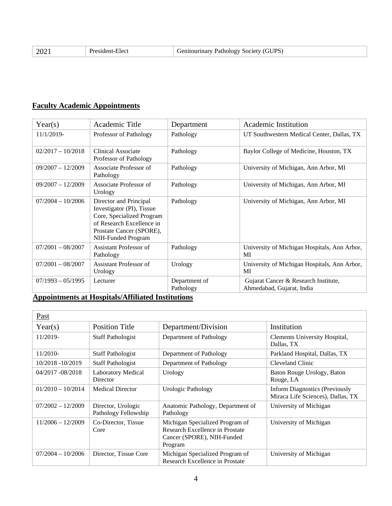| 20<br>______ | …ider.<br>Elect<br>. | . DC<br>$\cdot$ $\mathsf{r}$ <sup><math>\mathsf{r}</math></sup><br>utourinary '<br>'1efv<br>Pathology<br>NO CO |
|--------------|----------------------|----------------------------------------------------------------------------------------------------------------|
|--------------|----------------------|----------------------------------------------------------------------------------------------------------------|

# **Faculty Academic Appointments**

| Year(s)             | Academic Title                                                                                                                                                  | Department                 | Academic Institution                                              |
|---------------------|-----------------------------------------------------------------------------------------------------------------------------------------------------------------|----------------------------|-------------------------------------------------------------------|
| 11/1/2019-          | Professor of Pathology                                                                                                                                          | Pathology                  | UT Southwestern Medical Center, Dallas, TX                        |
| $02/2017 - 10/2018$ | Clinical Associate<br>Professor of Pathology                                                                                                                    | Pathology                  | Baylor College of Medicine, Houston, TX                           |
| $09/2007 - 12/2009$ | Associate Professor of<br>Pathology                                                                                                                             | Pathology                  | University of Michigan, Ann Arbor, MI                             |
| $09/2007 - 12/2009$ | Associate Professor of<br>Urology                                                                                                                               | Pathology                  | University of Michigan, Ann Arbor, MI                             |
| $07/2004 - 10/2006$ | Director and Principal<br>Investigator (PI), Tissue<br>Core, Specialized Program<br>of Research Excellence in<br>Prostate Cancer (SPORE),<br>NIH-Funded Program | Pathology                  | University of Michigan, Ann Arbor, MI                             |
| $07/2001 - 08/2007$ | <b>Assistant Professor of</b><br>Pathology                                                                                                                      | Pathology                  | University of Michigan Hospitals, Ann Arbor,<br>MI                |
| $07/2001 - 08/2007$ | Assistant Professor of<br>Urology                                                                                                                               | Urology                    | University of Michigan Hospitals, Ann Arbor,<br>MI                |
| $07/1993 - 05/1995$ | Lecturer                                                                                                                                                        | Department of<br>Pathology | Gujarat Cancer & Research Institute,<br>Ahmedabad, Gujarat, India |

# **Appointments at Hospitals/Affiliated Institutions**

| Past                |                                            |                                                                                                             |                                                                            |
|---------------------|--------------------------------------------|-------------------------------------------------------------------------------------------------------------|----------------------------------------------------------------------------|
| Year(s)             | <b>Position Title</b>                      | Department/Division                                                                                         | Institution                                                                |
| 11/2019-            | <b>Staff Pathologist</b>                   | Department of Pathology                                                                                     | Clements University Hospital,<br>Dallas, TX                                |
| $11/2010-$          | <b>Staff Pathologist</b>                   | Department of Pathology                                                                                     | Parkland Hospital, Dallas, TX                                              |
| 10/2018 -10/2019    | <b>Staff Pathologist</b>                   | Department of Pathology                                                                                     | Cleveland Clinic                                                           |
| 04/2017 -08/2018    | <b>Laboratory Medical</b><br>Director      | Urology                                                                                                     | Baton Rouge Urology, Baton<br>Rouge, LA                                    |
| $01/2010 - 10/2014$ | <b>Medical Director</b>                    | <b>Urologic Pathology</b>                                                                                   | <b>Inform Diagnostics (Previously</b><br>Miraca Life Sciences), Dallas, TX |
| $07/2002 - 12/2009$ | Director, Urologic<br>Pathology Fellowship | Anatomic Pathology, Department of<br>Pathology                                                              | University of Michigan                                                     |
| $11/2006 - 12/2009$ | Co-Director, Tissue<br>Core                | Michigan Specialized Program of<br>Research Excellence in Prostate<br>Cancer (SPORE), NIH-Funded<br>Program | University of Michigan                                                     |
| $07/2004 - 10/2006$ | Director, Tissue Core                      | Michigan Specialized Program of<br>Research Excellence in Prostate                                          | University of Michigan                                                     |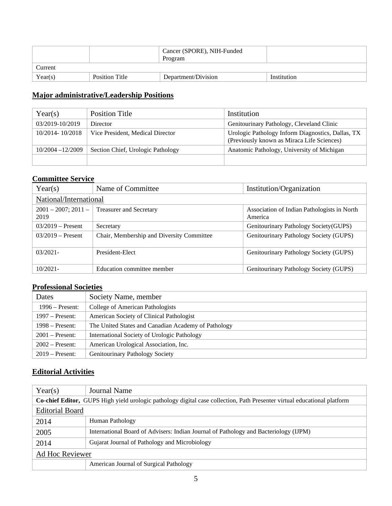|         |                       | Cancer (SPORE), NIH-Funded<br>Program |             |
|---------|-----------------------|---------------------------------------|-------------|
| Current |                       |                                       |             |
| Year(s) | <b>Position Title</b> | Department/Division                   | Institution |

## **Major administrative/Leadership Positions**

| Year(s)             | Position Title                    | Institution                                                                                     |
|---------------------|-----------------------------------|-------------------------------------------------------------------------------------------------|
| 03/2019-10/2019     | Director                          | Genitourinary Pathology, Cleveland Clinic                                                       |
| 10/2014-10/2018     | Vice President, Medical Director  | Urologic Pathology Inform Diagnostics, Dallas, TX<br>(Previously known as Miraca Life Sciences) |
| $10/2004 - 12/2009$ | Section Chief, Urologic Pathology | Anatomic Pathology, University of Michigan                                                      |
|                     |                                   |                                                                                                 |

## **Committee Service**

| Year(s)                          | Name of Committee                         | Institution/Organization                               |
|----------------------------------|-------------------------------------------|--------------------------------------------------------|
| National/International           |                                           |                                                        |
| $2001 - 2007$ ; $2011 -$<br>2019 | <b>Treasurer and Secretary</b>            | Association of Indian Pathologists in North<br>America |
| $03/2019$ – Present              | Secretary                                 | Genitourinary Pathology Society (GUPS)                 |
| $03/2019$ – Present              | Chair, Membership and Diversity Committee | Genitourinary Pathology Society (GUPS)                 |
| $03/2021 -$                      | President-Elect                           | Genitourinary Pathology Society (GUPS)                 |
| $10/2021 -$                      | Education committee member                | Genitourinary Pathology Society (GUPS)                 |

# **Professional Societies**

| Dates             | Society Name, member                                |
|-------------------|-----------------------------------------------------|
| $1996 -$ Present: | College of American Pathologists                    |
| $1997$ – Present: | American Society of Clinical Pathologist            |
| $1998 -$ Present: | The United States and Canadian Academy of Pathology |
| $2001$ – Present: | International Society of Urologic Pathology         |
| $2002$ – Present: | American Urological Association, Inc.               |
| $2019$ – Present: | Genitourinary Pathology Society                     |

# **Editorial Activities**

| Year(s)                                                                                                                         | Journal Name                                                                         |  |
|---------------------------------------------------------------------------------------------------------------------------------|--------------------------------------------------------------------------------------|--|
| <b>Co-chief Editor, GUPS</b> High yield urologic pathology digital case collection, Path Presenter virtual educational platform |                                                                                      |  |
| <b>Editorial Board</b>                                                                                                          |                                                                                      |  |
| 2014                                                                                                                            | Human Pathology                                                                      |  |
| 2005                                                                                                                            | International Board of Advisers: Indian Journal of Pathology and Bacteriology (IJPM) |  |
| 2014                                                                                                                            | Gujarat Journal of Pathology and Microbiology                                        |  |
| Ad Hoc Reviewer                                                                                                                 |                                                                                      |  |
|                                                                                                                                 | American Journal of Surgical Pathology                                               |  |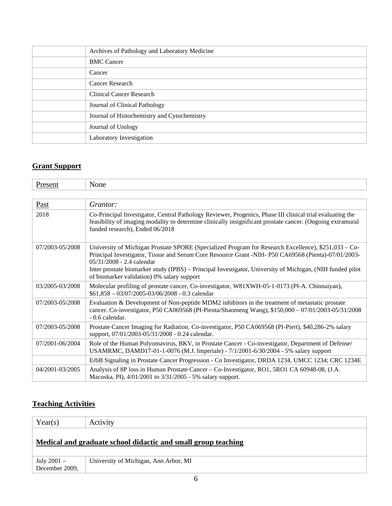| Archives of Pathology and Laboratory Medicine |
|-----------------------------------------------|
| <b>BMC</b> Cancer                             |
| Cancer                                        |
| Cancer Research                               |
| Clinical Cancer Research                      |
| Journal of Clinical Pathology                 |
| Journal of Histochemistry and Cytochemistry   |
| Journal of Urology                            |
| Laboratory Investigation                      |

# **Grant Support**

| Present         | None                                                                                                                                                                                                                                                                                                                                                                                                  |
|-----------------|-------------------------------------------------------------------------------------------------------------------------------------------------------------------------------------------------------------------------------------------------------------------------------------------------------------------------------------------------------------------------------------------------------|
|                 |                                                                                                                                                                                                                                                                                                                                                                                                       |
| Past            | Grantor:                                                                                                                                                                                                                                                                                                                                                                                              |
| 2018            | Co-Principal Investigator, Central Pathology Reviewer, Progenics, Phase III clinical trial evaluating the<br>feasibility of imaging modality to determine clinically insignificant prostate cancer. (Ongoing extramural<br>funded research), Ended 06/2018                                                                                                                                            |
| 07/2003-05/2008 | University of Michigan Prostate SPORE (Specialized Program for Research Excellence), \$251,033 - Co-<br>Principal Investigator, Tissue and Serum Core Resource Grant -NIH- P50 CA69568 (Pienta)-07/01/2003-<br>$05/31/2008 - 2.4$ calendar<br>Inter prostate biomarker study (IPBS) – Principal Investigator, University of Michigan, (NIH funded pilot<br>of biomarker validation) 0% salary support |
| 03/2005-03/2008 | Molecular profiling of prostate cancer, Co-investigator, W81XWH-05-1-0173 (PI-A. Chinnaiyan),<br>$$61,858 - 03/07/2005 - 03/06/2008 - 0.3$ calendar                                                                                                                                                                                                                                                   |
| 07/2003-05/2008 | Evaluation & Development of Non-peptide MDM2 inhibitors in the treatment of metastatic prostate<br>cancer. Co-investigator, P50 CA069568 (PI-Pienta/Shaomeng Wang), \$150,000 - 07/01/2003-05/31/2008<br>- 0.6 calendar.                                                                                                                                                                              |
| 07/2003-05/2008 | Prostate Cancer Imaging for Radiation. Co-investigator, P50 CA069568 (PI-Piert), \$40,286-2% salary<br>support, 07/01/2003-05/31/2008 - 0.24 calendar.                                                                                                                                                                                                                                                |
| 07/2001-06/2004 | Role of the Human Polyomavirus, BKV, in Prostate Cancer - Co-investigator, Department of Defense/<br>USAMRMC, DAMD17-01-1-0076 (M.J. Imperiale) - 7/1/2001-6/30/2004 - 5% salary support                                                                                                                                                                                                              |
|                 | ErbB Signaling in Prostate Cancer Progression - Co Investigator, DRDA 1234, UMCC 1234; CRC 1234E                                                                                                                                                                                                                                                                                                      |
| 04/2001-03/2005 | Analysis of 8P loss in Human Prostate Cancer – Co-Investigator, RO1, 5RO1 CA 60948-08, (J.A.<br>Macoska, PI), 4/01/2001 to 3/31/2005 - 5% salary support.                                                                                                                                                                                                                                             |

# **Teaching Activities**

| Year(s)                                                       | Activity                              |  |
|---------------------------------------------------------------|---------------------------------------|--|
| Medical and graduate school didactic and small group teaching |                                       |  |
| July 2001 –<br>December 2009,                                 | University of Michigan, Ann Arbor, MI |  |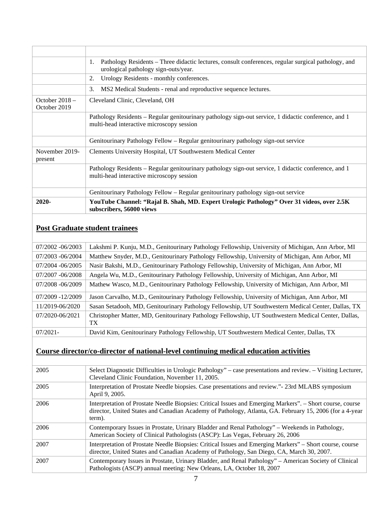|                                  | Pathology Residents – Three didactic lectures, consult conferences, regular surgical pathology, and<br>1.<br>urological pathology sign-outs/year. |  |
|----------------------------------|---------------------------------------------------------------------------------------------------------------------------------------------------|--|
|                                  | Urology Residents - monthly conferences.<br>2.                                                                                                    |  |
|                                  | MS2 Medical Students - renal and reproductive sequence lectures.<br>3.                                                                            |  |
| October $2018 -$<br>October 2019 | Cleveland Clinic, Cleveland, OH                                                                                                                   |  |
|                                  | Pathology Residents - Regular genitourinary pathology sign-out service, 1 didactic conference, and 1<br>multi-head interactive microscopy session |  |
|                                  | Genitourinary Pathology Fellow – Regular genitourinary pathology sign-out service                                                                 |  |
| November 2019-<br>present        | Clements University Hospital, UT Southwestern Medical Center                                                                                      |  |
|                                  | Pathology Residents - Regular genitourinary pathology sign-out service, 1 didactic conference, and 1<br>multi-head interactive microscopy session |  |
|                                  | Genitourinary Pathology Fellow – Regular genitourinary pathology sign-out service                                                                 |  |
| 2020-                            | YouTube Channel: "Rajal B. Shah, MD. Expert Urologic Pathology" Over 31 videos, over 2.5K<br>subscribers, 56000 views                             |  |

# **Post Graduate student trainees**

| 07/2002 -06/2003 | Lakshmi P. Kunju, M.D., Genitourinary Pathology Fellowship, University of Michigan, Ann Arbor, MI         |
|------------------|-----------------------------------------------------------------------------------------------------------|
| 07/2003 -06/2004 | Matthew Snyder, M.D., Genitourinary Pathology Fellowship, University of Michigan, Ann Arbor, MI           |
| 07/2004 -06/2005 | Nasir Bakshi, M.D., Genitourinary Pathology Fellowship, University of Michigan, Ann Arbor, MI             |
| 07/2007 -06/2008 | Angela Wu, M.D., Genitourinary Pathology Fellowship, University of Michigan, Ann Arbor, MI                |
| 07/2008 -06/2009 | Mathew Wasco, M.D., Genitourinary Pathology Fellowship, University of Michigan, Ann Arbor, MI             |
| 07/2009 -12/2009 | Jason Carvalho, M.D., Genitourinary Pathology Fellowship, University of Michigan, Ann Arbor, MI           |
| 11/2019-06/2020  | Sasan Setadooh, MD, Genitourinary Pathology Fellowship, UT Southwestern Medical Center, Dallas, TX        |
| 07/2020-06/2021  | Christopher Matter, MD, Genitourinary Pathology Fellowship, UT Southwestern Medical Center, Dallas,<br>TX |
| $07/2021 -$      | David Kim, Genitourinary Pathology Fellowship, UT Southwestern Medical Center, Dallas, TX                 |

# **Course director/co-director of national-level continuing medical education activities**

| 2005 | Select Diagnostic Difficulties in Urologic Pathology" – case presentations and review. – Visiting Lecturer,<br>Cleveland Clinic Foundation, November 11, 2005.                                                                 |
|------|--------------------------------------------------------------------------------------------------------------------------------------------------------------------------------------------------------------------------------|
| 2005 | Interpretation of Prostate Needle biopsies. Case presentations and review." - 23rd MLABS symposium<br>April 9, 2005.                                                                                                           |
| 2006 | Interpretation of Prostate Needle Biopsies: Critical Issues and Emerging Markers". – Short course, course<br>director, United States and Canadian Academy of Pathology, Atlanta, GA. February 15, 2006 (for a 4-year<br>term). |
| 2006 | Contemporary Issues in Prostate, Urinary Bladder and Renal Pathology" – Weekends in Pathology,<br>American Society of Clinical Pathologists (ASCP): Las Vegas, February 26, 2006                                               |
| 2007 | Interpretation of Prostate Needle Biopsies: Critical Issues and Emerging Markers" – Short course, course<br>director, United States and Canadian Academy of Pathology, San Diego, CA, March 30, 2007.                          |
| 2007 | Contemporary Issues in Prostate, Urinary Bladder, and Renal Pathology" – American Society of Clinical<br>Pathologists (ASCP) annual meeting: New Orleans, LA, October 18, 2007                                                 |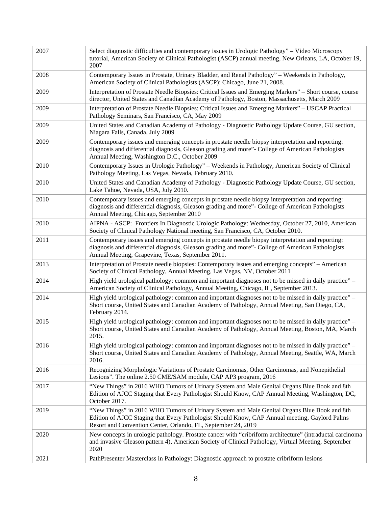| 2007 | Select diagnostic difficulties and contemporary issues in Urologic Pathology" - Video Microscopy<br>tutorial, American Society of Clinical Pathologist (ASCP) annual meeting, New Orleans, LA, October 19,<br>2007                                            |
|------|---------------------------------------------------------------------------------------------------------------------------------------------------------------------------------------------------------------------------------------------------------------|
| 2008 | Contemporary Issues in Prostate, Urinary Bladder, and Renal Pathology" - Weekends in Pathology,<br>American Society of Clinical Pathologists (ASCP): Chicago, June 21, 2008.                                                                                  |
| 2009 | Interpretation of Prostate Needle Biopsies: Critical Issues and Emerging Markers" – Short course, course<br>director, United States and Canadian Academy of Pathology, Boston, Massachusetts, March 2009                                                      |
| 2009 | Interpretation of Prostate Needle Biopsies: Critical Issues and Emerging Markers" - USCAP Practical<br>Pathology Seminars, San Francisco, CA, May 2009                                                                                                        |
| 2009 | United States and Canadian Academy of Pathology - Diagnostic Pathology Update Course, GU section,<br>Niagara Falls, Canada, July 2009                                                                                                                         |
| 2009 | Contemporary issues and emerging concepts in prostate needle biopsy interpretation and reporting:<br>diagnosis and differential diagnosis, Gleason grading and more"- College of American Pathologists<br>Annual Meeting, Washington D.C., October 2009       |
| 2010 | Contemporary Issues in Urologic Pathology" – Weekends in Pathology, American Society of Clinical<br>Pathology Meeting, Las Vegas, Nevada, February 2010.                                                                                                      |
| 2010 | United States and Canadian Academy of Pathology - Diagnostic Pathology Update Course, GU section,<br>Lake Tahoe, Nevada, USA, July 2010.                                                                                                                      |
| 2010 | Contemporary issues and emerging concepts in prostate needle biopsy interpretation and reporting:<br>diagnosis and differential diagnosis, Gleason grading and more"- College of American Pathologists<br>Annual Meeting, Chicago, September 2010             |
| 2010 | AIPNA - ASCP: Frontiers In Diagnostic Urologic Pathology: Wednesday, October 27, 2010, American<br>Society of Clinical Pathology National meeting, San Francisco, CA, October 2010.                                                                           |
| 2011 | Contemporary issues and emerging concepts in prostate needle biopsy interpretation and reporting:<br>diagnosis and differential diagnosis, Gleason grading and more"- College of American Pathologists<br>Annual Meeting, Grapevine, Texas, September 2011.   |
| 2013 | Interpretation of Prostate needle biopsies: Contemporary issues and emerging concepts" – American<br>Society of Clinical Pathology, Annual Meeting, Las Vegas, NV, October 2011                                                                               |
| 2014 | High yield urological pathology: common and important diagnoses not to be missed in daily practice" -<br>American Society of Clinical Pathology, Annual Meeting, Chicago, IL, September 2013.                                                                 |
| 2014 | High yield urological pathology: common and important diagnoses not to be missed in daily practice" –<br>Short course, United States and Canadian Academy of Pathology, Annual Meeting, San Diego, CA,<br>February 2014.                                      |
| 2015 | High yield urological pathology: common and important diagnoses not to be missed in daily practice" –<br>Short course, United States and Canadian Academy of Pathology, Annual Meeting, Boston, MA, March<br>2015.                                            |
| 2016 | High yield urological pathology: common and important diagnoses not to be missed in daily practice" –<br>Short course, United States and Canadian Academy of Pathology, Annual Meeting, Seattle, WA, March<br>2016.                                           |
| 2016 | Recognizing Morphologic Variations of Prostate Carcinomas, Other Carcinomas, and Nonepithelial<br>Lesions". The online 2.50 CME/SAM module, CAP AP3 program, 2016                                                                                             |
| 2017 | "New Things" in 2016 WHO Tumors of Urinary System and Male Genital Organs Blue Book and 8th<br>Edition of AJCC Staging that Every Pathologist Should Know, CAP Annual Meeting, Washington, DC,<br>October 2017.                                               |
| 2019 | "New Things" in 2016 WHO Tumors of Urinary System and Male Genital Organs Blue Book and 8th<br>Edition of AJCC Staging that Every Pathologist Should Know, CAP Annual meeting, Gaylord Palms<br>Resort and Convention Center, Orlando, FL, September 24, 2019 |
| 2020 | New concepts in urologic pathology. Prostate cancer with "cribriform architecture" (intraductal carcinoma<br>and invasive Gleason pattern 4), American Society of Clinical Pathology, Virtual Meeting, September<br>2020                                      |
| 2021 | PathPresenter Masterclass in Pathology: Diagnostic approach to prostate cribriform lesions                                                                                                                                                                    |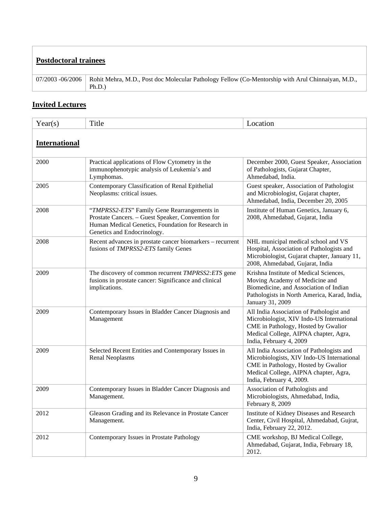| <b>Postdoctoral trainees</b> |                                                                                                             |  |
|------------------------------|-------------------------------------------------------------------------------------------------------------|--|
| $07/2003 - 06/2006$          | Rohit Mehra, M.D., Post doc Molecular Pathology Fellow (Co-Mentorship with Arul Chinnaiyan, M.D.,<br>Ph.D.) |  |

# **Invited Lectures**

| Year(s)              | Title                                                                                                                                                                                 | Location                                                                                                                                                                                            |  |
|----------------------|---------------------------------------------------------------------------------------------------------------------------------------------------------------------------------------|-----------------------------------------------------------------------------------------------------------------------------------------------------------------------------------------------------|--|
| <b>International</b> |                                                                                                                                                                                       |                                                                                                                                                                                                     |  |
| 2000                 | Practical applications of Flow Cytometry in the<br>immunophenotypic analysis of Leukemia's and<br>Lymphomas.                                                                          | December 2000, Guest Speaker, Association<br>of Pathologists, Gujarat Chapter,<br>Ahmedabad, India.                                                                                                 |  |
| 2005                 | Contemporary Classification of Renal Epithelial<br>Neoplasms: critical issues.                                                                                                        | Guest speaker, Association of Pathologist<br>and Microbiologist, Gujarat chapter,<br>Ahmedabad, India, December 20, 2005                                                                            |  |
| 2008                 | "TMPRSS2-ETS" Family Gene Rearrangements in<br>Prostate Cancers. - Guest Speaker, Convention for<br>Human Medical Genetics, Foundation for Research in<br>Genetics and Endocrinology. | Institute of Human Genetics, January 6,<br>2008, Ahmedabad, Gujarat, India                                                                                                                          |  |
| 2008                 | Recent advances in prostate cancer biomarkers – recurrent<br>fusions of TMPRSS2-ETS family Genes                                                                                      | NHL municipal medical school and VS<br>Hospital, Association of Pathologists and<br>Microbiologist, Gujarat chapter, January 11,<br>2008, Ahmedabad, Gujarat, India                                 |  |
| 2009                 | The discovery of common recurrent TMPRSS2: ETS gene<br>fusions in prostate cancer: Significance and clinical<br>implications.                                                         | Krishna Institute of Medical Sciences,<br>Moving Academy of Medicine and<br>Biomedicine, and Association of Indian<br>Pathologists in North America, Karad, India,<br>January 31, 2009              |  |
| 2009                 | Contemporary Issues in Bladder Cancer Diagnosis and<br>Management                                                                                                                     | All India Association of Pathologist and<br>Microbiologist, XIV Indo-US International<br>CME in Pathology, Hosted by Gwalior<br>Medical College, AIPNA chapter, Agra,<br>India, February 4, 2009    |  |
| 2009                 | Selected Recent Entities and Contemporary Issues in<br><b>Renal Neoplasms</b>                                                                                                         | All India Association of Pathologists and<br>Microbiologists, XIV Indo-US International<br>CME in Pathology, Hosted by Gwalior<br>Medical College, AIPNA chapter, Agra,<br>India, February 4, 2009. |  |
| 2009                 | Contemporary Issues in Bladder Cancer Diagnosis and<br>Management.                                                                                                                    | Association of Pathologists and<br>Microbiologists, Ahmedabad, India,<br>February 8, 2009                                                                                                           |  |
| 2012                 | Gleason Grading and its Relevance in Prostate Cancer<br>Management.                                                                                                                   | Institute of Kidney Diseases and Research<br>Center, Civil Hospital, Ahmedabad, Gujrat,<br>India, February 22, 2012.                                                                                |  |
| 2012                 | Contemporary Issues in Prostate Pathology                                                                                                                                             | CME workshop, BJ Medical College,<br>Ahmedabad, Gujarat, India, February 18,<br>2012.                                                                                                               |  |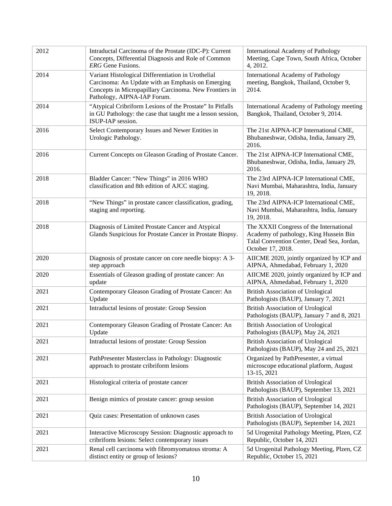| 2012 | Intraductal Carcinoma of the Prostate (IDC-P): Current<br>Concepts, Differential Diagnosis and Role of Common<br><b>ERG</b> Gene Fusions.                                                        | International Academy of Pathology<br>Meeting, Cape Town, South Africa, October<br>4, 2012.                                                          |
|------|--------------------------------------------------------------------------------------------------------------------------------------------------------------------------------------------------|------------------------------------------------------------------------------------------------------------------------------------------------------|
| 2014 | Variant Histological Differentiation in Urothelial<br>Carcinoma: An Update with an Emphasis on Emerging<br>Concepts in Micropapillary Carcinoma. New Frontiers in<br>Pathology, AIPNA-IAP Forum. | <b>International Academy of Pathology</b><br>meeting, Bangkok, Thailand, October 9,<br>2014.                                                         |
| 2014 | "Atypical Cribriform Lesions of the Prostate" In Pitfalls<br>in GU Pathology: the case that taught me a lesson session,<br>ISUP-IAP session.                                                     | International Academy of Pathology meeting<br>Bangkok, Thailand, October 9, 2014.                                                                    |
| 2016 | Select Contemporary Issues and Newer Entities in<br>Urologic Pathology.                                                                                                                          | The 21st AIPNA-ICP International CME,<br>Bhubaneshwar, Odisha, India, January 29,<br>2016.                                                           |
| 2016 | Current Concepts on Gleason Grading of Prostate Cancer.                                                                                                                                          | The 21st AIPNA-ICP International CME,<br>Bhubaneshwar, Odisha, India, January 29,<br>2016.                                                           |
| 2018 | Bladder Cancer: "New Things" in 2016 WHO<br>classification and 8th edition of AJCC staging.                                                                                                      | The 23rd AIPNA-ICP International CME,<br>Navi Mumbai, Maharashtra, India, January<br>19, 2018.                                                       |
| 2018 | "New Things" in prostate cancer classification, grading,<br>staging and reporting.                                                                                                               | The 23rd AIPNA-ICP International CME,<br>Navi Mumbai, Maharashtra, India, January<br>19, 2018.                                                       |
| 2018 | Diagnosis of Limited Prostate Cancer and Atypical<br>Glands Suspicious for Prostate Cancer in Prostate Biopsy.                                                                                   | The XXXII Congress of the International<br>Academy of pathology, King Hussein Bin<br>Talal Convention Center, Dead Sea, Jordan,<br>October 17, 2018. |
| 2020 | Diagnosis of prostate cancer on core needle biopsy: A 3-<br>step approach                                                                                                                        | AIICME 2020, jointly organized by ICP and<br>AIPNA, Ahmedabad, February 1, 2020                                                                      |
| 2020 | Essentials of Gleason grading of prostate cancer: An<br>update                                                                                                                                   | AIICME 2020, jointly organized by ICP and<br>AIPNA, Ahmedabad, February 1, 2020                                                                      |
| 2021 | Contemporary Gleason Grading of Prostate Cancer: An<br>Update                                                                                                                                    | <b>British Association of Urological</b><br>Pathologists (BAUP), January 7, 2021                                                                     |
| 2021 | Intraductal lesions of prostate: Group Session                                                                                                                                                   | <b>British Association of Urological</b><br>Pathologists (BAUP), January 7 and 8, 2021                                                               |
| 2021 | Contemporary Gleason Grading of Prostate Cancer: An<br>Update                                                                                                                                    | <b>British Association of Urological</b><br>Pathologists (BAUP), May 24, 2021                                                                        |
| 2021 | Intraductal lesions of prostate: Group Session                                                                                                                                                   | <b>British Association of Urological</b><br>Pathologists (BAUP), May 24 and 25, 2021                                                                 |
| 2021 | PathPresenter Masterclass in Pathology: Diagnostic<br>approach to prostate cribriform lesions                                                                                                    | Organized by PathPresenter, a virtual<br>microscope educational platform, August<br>13-15, 2021                                                      |
| 2021 | Histological criteria of prostate cancer                                                                                                                                                         | <b>British Association of Urological</b><br>Pathologists (BAUP), September 13, 2021                                                                  |
| 2021 | Benign mimics of prostate cancer: group session                                                                                                                                                  | <b>British Association of Urological</b><br>Pathologists (BAUP), September 14, 2021                                                                  |
| 2021 | Quiz cases: Presentation of unknown cases                                                                                                                                                        | <b>British Association of Urological</b><br>Pathologists (BAUP), September 14, 2021                                                                  |
| 2021 | Interactive Microscopy Session: Diagnostic approach to<br>cribriform lesions: Select contemporary issues                                                                                         | 5d Urogenital Pathology Meeting, Plzen, CZ<br>Republic, October 14, 2021                                                                             |
| 2021 | Renal cell carcinoma with fibromyomatous stroma: A<br>distinct entity or group of lesions?                                                                                                       | 5d Urogenital Pathology Meeting, Plzen, CZ<br>Republic, October 15, 2021                                                                             |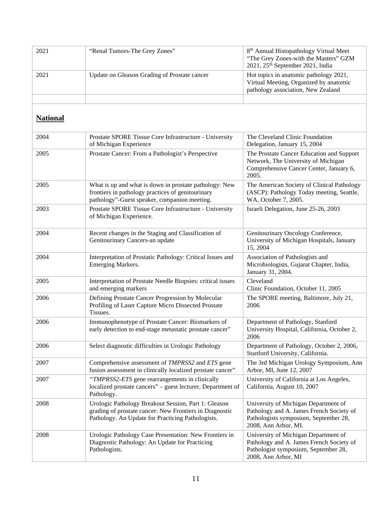| 2021 | "Renal Tumors-The Grey Zones"                | 8 <sup>th</sup> Annual Histopathology Virtual Meet<br>"The Grey Zones-with the Masters" GZM<br>$2021$ , $25th$ September 2021, India |
|------|----------------------------------------------|--------------------------------------------------------------------------------------------------------------------------------------|
| 2021 | Update on Gleason Grading of Prostate cancer | Hot topics in anatomic pathology 2021,<br>Virtual Meeting, Organized by anatomic<br>pathology association, New Zealand               |
|      |                                              |                                                                                                                                      |

# **National**

| 2004 | Prostate SPORE Tissue Core Infrastructure - University<br>of Michigan Experience                                                                                     | The Cleveland Clinic Foundation<br>Delegation, January 15, 2004                                                                                   |
|------|----------------------------------------------------------------------------------------------------------------------------------------------------------------------|---------------------------------------------------------------------------------------------------------------------------------------------------|
| 2005 | Prostate Cancer: From a Pathologist's Perspective                                                                                                                    | The Prostate Cancer Education and Support<br>Network, The University of Michigan<br>Comprehensive Cancer Center, January 6,<br>2005.              |
| 2005 | What is up and what is down in prostate pathology: New<br>frontiers in pathology practices of genitourinary<br>pathology"-Guest speaker, companion meeting.          | The American Society of Clinical Pathology<br>(ASCP): Pathology Today meeting, Seattle,<br>WA, October 7, 2005.                                   |
| 2003 | Prostate SPORE Tissue Core Infrastructure - University<br>of Michigan Experience.                                                                                    | Israeli Delegation, June 25-26, 2003                                                                                                              |
| 2004 | Recent changes in the Staging and Classification of<br>Genitourinary Cancers-an update                                                                               | Genitourinary Oncology Conference,<br>University of Michigan Hospitals, January<br>15, 2004                                                       |
| 2004 | Interpretation of Prostatic Pathology: Critical Issues and<br>Emerging Markers.                                                                                      | Association of Pathologists and<br>Microbiologists, Gujarat Chapter, India,<br>January 31, 2004.                                                  |
| 2005 | Interpretation of Prostate Needle Biopsies: critical issues<br>and emerging markers                                                                                  | Cleveland<br>Clinic Foundation, October 11, 2005                                                                                                  |
| 2006 | Defining Prostate Cancer Progression by Molecular<br>Profiling of Laser Capture Micro Dissected Prostate<br>Tissues.                                                 | The SPORE meeting, Baltimore, July 21,<br>2006                                                                                                    |
| 2006 | Immunophenotype of Prostate Cancer: Biomarkers of<br>early detection to end-stage metastatic prostate cancer"                                                        | Department of Pathology, Stanford<br>University Hospital, California, October 2,<br>2006                                                          |
| 2006 | Select diagnostic difficulties in Urologic Pathology                                                                                                                 | Department of Pathology, October 2, 2006,<br>Stanford University, California.                                                                     |
| 2007 | Comprehensive assessment of TMPRSS2 and ETS gene<br>fusion assessment in clinically localized prostate cancer"                                                       | The 3rd Michigan Urology Symposium, Ann<br>Arbor, MI, June 12, 2007                                                                               |
| 2007 | "TMPRSS2-ETS gene rearrangements in clinically<br>localized prostate cancers" – guest lecturer, Department of<br>Pathology.                                          | University of California at Los Angeles,<br>California, August 10, 2007                                                                           |
| 2008 | Urologic Pathology Breakout Session, Part 1: Gleason<br>grading of prostate cancer: New Frontiers in Diagnostic<br>Pathology. An Update for Practicing Pathologists. | University of Michigan Department of<br>Pathology and A. James French Society of<br>Pathologists symposium, September 28,<br>2008, Ann Arbor, MI. |
| 2008 | Urologic Pathology Case Presentation: New Frontiers in<br>Diagnostic Pathology: An Update for Practicing<br>Pathologists.                                            | University of Michigan Department of<br>Pathology and A. James French Society of<br>Pathologist symposium, September 28,<br>2008, Ann Arbor, MI   |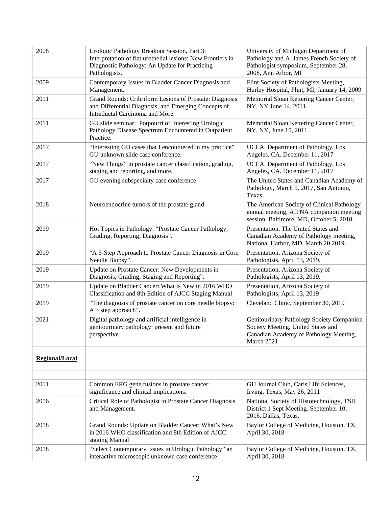| 2008           | Urologic Pathology Breakout Session, Part 3:<br>Interpretation of flat urothelial lesions: New Frontiers in<br>Diagnostic Pathology: An Update for Practicing<br>Pathologists. | University of Michigan Department of<br>Pathology and A. James French Society of<br>Pathologist symposium, September 28,<br>2008, Ann Arbor, MI |
|----------------|--------------------------------------------------------------------------------------------------------------------------------------------------------------------------------|-------------------------------------------------------------------------------------------------------------------------------------------------|
| 2009           | Contemporary Issues in Bladder Cancer Diagnosis and<br>Management.                                                                                                             | Flint Society of Pathologists Meeting,<br>Hurley Hospital, Flint, MI, January 14, 2009                                                          |
| 2011           | Grand Rounds: Cribriform Lesions of Prostate: Diagnosis<br>and Differential Diagnosis, and Emerging Concepts of<br>Intraductal Carcinoma and More.                             | Memorial Sloan Kettering Cancer Center,<br>NY, NY June 14, 2011.                                                                                |
| 2011           | GU slide seminar: Potpourri of Interesting Urologic<br>Pathology Disease Spectrum Encountered in Outpatient<br>Practice.                                                       | Memorial Sloan Kettering Cancer Center,<br>NY, NY, June 15, 2011.                                                                               |
| 2017           | "Interesting GU cases that I encountered in my practice"<br>GU unknown slide case conference.                                                                                  | UCLA, Department of Pathology, Los<br>Angeles, CA. December 11, 2017                                                                            |
| 2017           | "New Things" in prostate cancer classification, grading,<br>staging and reporting, and more.                                                                                   | UCLA, Department of Pathology, Los<br>Angeles, CA. December 11, 2017                                                                            |
| 2017           | GU evening subspecialty case conference                                                                                                                                        | The United States and Canadian Academy of<br>Pathology, March 5, 2017, San Antonio,<br>Texas                                                    |
| 2018           | Neuroendocrine tumors of the prostate gland                                                                                                                                    | The American Society of Clinical Pathology<br>annual meeting, AIPNA companion meeting<br>session, Baltimore, MD, October 5, 2018.               |
| 2019           | Hot Topics in Pathology: "Prostate Cancer Pathology,<br>Grading, Reporting, Diagnosis".                                                                                        | Presentation. The United States and<br>Canadian Academy of Pathology meeting,<br>National Harbor, MD, March 20 2019.                            |
| 2019           | "A 3-Step Approach to Prostate Cancer Diagnosis in Core<br>Needle Biopsy".                                                                                                     | Presentation, Arizona Society of<br>Pathologists, April 13, 2019.                                                                               |
| 2019           | Update on Prostate Cancer: New Developments in<br>Diagnosis, Grading, Staging and Reporting".                                                                                  | Presentation, Arizona Society of<br>Pathologists, April 13, 2019.                                                                               |
| 2019           | Update on Bladder Cancer: What is New in 2016 WHO<br>Classification and 8th Edition of AJCC Staging Manual                                                                     | Presentation, Arizona Society of<br>Pathologists, April 13, 2019                                                                                |
| 2019           | "The diagnosis of prostate cancer on core needle biopsy:<br>A 3 step approach".                                                                                                | Cleveland Clinic, September 30, 2019                                                                                                            |
| 2021           | Digital pathology and artificial intelligence in<br>genitourinary pathology: present and future<br>perspective                                                                 | Genitourinary Pathology Society Companion<br>Society Meeting, United States and<br>Canadian Academy of Pathology Meeting,<br>March 2021         |
| Regional/Local |                                                                                                                                                                                |                                                                                                                                                 |
|                |                                                                                                                                                                                |                                                                                                                                                 |
| 2011           | Common ERG gene fusions in prostate cancer:<br>significance and clinical implications.                                                                                         | GU Journal Club, Caris Life Sciences,<br>Irving, Texas, May 26, 2011                                                                            |
| 2016           | Critical Role of Pathologist in Prostate Cancer Diagnosis<br>and Management.                                                                                                   | National Society of Histotechnology, TSH<br>District 1 Sept Meeting. September 10,<br>2016, Dallas, Texas.                                      |
| 2018           | Grand Rounds: Update on Bladder Cancer: What's New<br>in 2016 WHO classification and 8th Edition of AJCC<br>staging Manual                                                     | Baylor College of Medicine, Houston, TX,<br>April 30, 2018                                                                                      |
| 2018           | "Select Contemporary Issues in Urologic Pathology" an<br>interactive microscopic unknown case conference                                                                       | Baylor College of Medicine, Houston, TX,<br>April 30, 2018                                                                                      |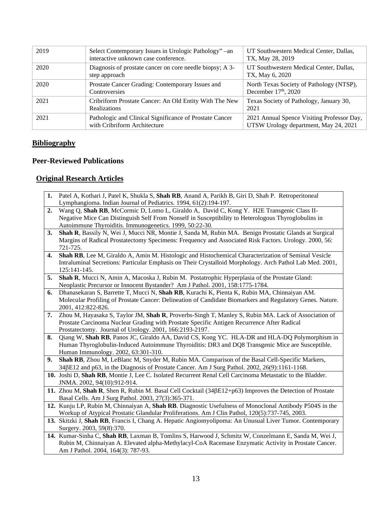| 2019 | Select Contemporary Issues in Urologic Pathology" - an<br>interactive unknown case conference. | UT Southwestern Medical Center, Dallas,<br>TX, May 28, 2019                         |
|------|------------------------------------------------------------------------------------------------|-------------------------------------------------------------------------------------|
| 2020 | Diagnosis of prostate cancer on core needle biopsy; A 3-<br>step approach                      | UT Southwestern Medical Center, Dallas,<br>TX, May 6, 2020                          |
| 2020 | Prostate Cancer Grading: Contemporary Issues and<br>Controversies                              | North Texas Society of Pathology (NTSP),<br>December $17th$ , 2020                  |
| 2021 | Cribriform Prostate Cancer: An Old Entity With The New<br>Realizations                         | Texas Society of Pathology, January 30,<br>2021                                     |
| 2021 | Pathologic and Clinical Significance of Prostate Cancer<br>with Cribriform Architecture        | 2021 Annual Spence Visiting Professor Day,<br>UTSW Urology department, May 24, 2021 |

### **Bibliography**

## **Peer-Reviewed Publications**

## **Original Research Articles**

- **1.** Patel A, Kothari J, Patel K, Shukla S, **Shah RB**, Anand A, Parikh B, Giri D, Shah P. Retroperitoneal Lymphangioma. Indian Journal of Pediatrics. 1994, 61(2):194-197.
- **2.** Wang Q, **Shah RB**, McCormic D, Lomo L, Giraldo A, David C, Kong Y. H2E Transgenic Class II-Negative Mice Can Distinguish Self From Nonself in Susceptibility to Heterologous Thyroglobulins in Autoimmune Thyroiditis. Immunogenetics. 1999, 50:22-30.
- **3. Shah R**, Bassily N, Wei J, Mucci NR, Montie J, Sanda M, Rubin MA. Benign Prostatic Glands at Surgical Margins of Radical Prostatectomy Specimens: Frequency and Associated Risk Factors. Urology. 2000, 56: 721-725.
- **4. Shah RB**, Lee M, Giraldo A, Amin M. Histologic and Histochemical Characterization of Seminal Vesicle Intraluminal Secretions: Particular Emphasis on Their Crystalloid Morphology. Arch Pathol Lab Med. 2001, 125:141-145.
- **5. Shah R**, Mucci N, Amin A, Macoska J, Rubin M. Postatrophic Hyperplasia of the Prostate Gland: Neoplastic Precursor or Innocent Bystander? Am J Pathol. 2001, 158:1775-1784.
- **6.** Dhanasekaran S, Barrette T, Mucci N, **Shah RB**, Kurachi K, Pienta K, Rubin MA, Chinnaiyan AM. Molecular Profiling of Prostate Cancer: Delineation of Candidate Biomarkers and Regulatory Genes. Nature. 2001, 412:822-826.
- **7.** Zhou M, Hayasaka S, Taylor JM, **Shah R**, Proverbs-Singh T, Manley S, Rubin MA. Lack of Association of Prostate Carcinoma Nuclear Grading with Prostate Specific Antigen Recurrence After Radical Prostatectomy. Journal of Urology. 2001, 166:2193-2197.
- **8.** Qiang W, **Shah RB**, Panos JC, Giraldo AA, David CS, Kong YC. HLA-DR and HLA-DQ Polymorphism in Human Thyroglobulin-Induced Autoimmune Thyroiditis: DR3 and DQ8 Transgenic Mice are Susceptible. Human Immunology. 2002, 63:301-310.
- **9. Shah RB**, Zhou M, LeBlanc M, Snyder M, Rubin MA. Comparison of the Basal Cell-Specific Markers, 34βE12 and p63, in the Diagnosis of Prostate Cancer. Am J Surg Pathol. 2002, 26(9):1161-1168.
- **10.** Joshi D, **Shah RB**, Montie J, Lee C. Isolated Recurrent Renal Cell Carcinoma Metastatic to the Bladder. JNMA. 2002, 94(10):912-914.
- **11.** Zhou M, **Shah R**, Shen R, Rubin M. Basal Cell Cocktail (34βE12+p63) Improves the Detection of Prostate Basal Cells. Am J Surg Pathol. 2003, 27(3):365-371.
- **12.** Kunju LP, Rubin M, Chinnaiyan A, **Shah RB**. Diagnostic Usefulness of Monoclonal Antibody P504S in the Workup of Atypical Prostatic Glandular Proliferations. Am J Clin Pathol, 120(5):737-745, 2003.
- **13.** Skitzki J, **Shah RB**, Francis I, Chang A. Hepatic Angiomyolipoma: An Unusual Liver Tumor. Contemporary Surgery. 2003, 59(8):370.
- **14.** Kumar-Sinha C, **Shah RB**, Laxman B, Tomlins S, Harwood J, Schmitz W, Conzelmann E, Sanda M, Wei J, Rubin M, Chinnaiyan A. Elevated alpha-Methylacyl-CoA Racemase Enzymatic Activity in Prostate Cancer. Am J Pathol. 2004, 164(3): 787-93.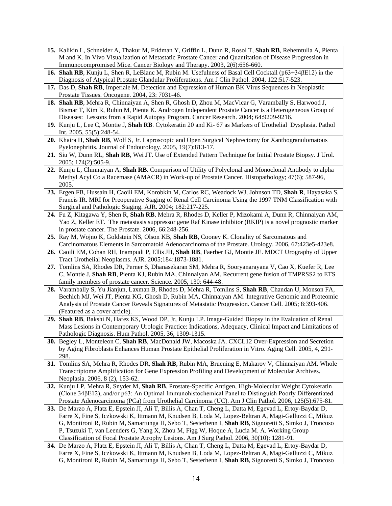- **15.** Kalikin L, Schneider A, Thakur M, Fridman Y, Griffin L, Dunn R, Rosol T, **Shah RB**, Rehemtulla A, Pienta M and K. In Vivo Visualization of Metastatic Prostate Cancer and Quantitation of Disease Progression in Immunocompromised Mice. Cancer Biology and Therapy. 2003, 2(6):656-660.
- **16. Shah RB**, Kunju L, Shen R, LeBlanc M, Rubin M. Usefulness of Basal Cell Cocktail (p63+34βE12) in the Diagnosis of Atypical Prostate Glandular Proliferations. Am J Clin Pathol. 2004, 122:517-523.
- **17.** Das D, **Shah RB**, Imperiale M. Detection and Expression of Human BK Virus Sequences in Neoplastic Prostate Tissues. Oncogene. 2004, 23: 7031-46.
- **18. Shah RB**, Mehra R, Chinnaiyan A, Shen R, Ghosh D, Zhou M, MacVicar G, Varambally S, Harwood J, Bismar T, Kim R, Rubin M, Pienta K. Androgen Independent Prostate Cancer is a Heterogeneous Group of Diseases: Lessons from a Rapid Autopsy Program. Cancer Research. 2004; 64:9209-9216.
- **19.** Kunju L, Lee C, Montie J, **Shah RB**. Cytokeratin 20 and Ki- 67 as Markers of Urothelial Dysplasia. Pathol Int. 2005, 55(5):248-54.
- **20.** Khaira H, **Shah RB**, Wolf S, Jr. Laproscopic and Open Surgical Nephrectomy for Xanthogranulomatous Pyelonephritis. Journal of Endourology. 2005, 19(7):813-17.
- **21.** Siu W, Dunn RL, **Shah RB**, Wei JT. Use of Extended Pattern Technique for Initial Prostate Biopsy. J Urol. 2005; 174(2):505-9.
- **22.** Kunju L, Chinnaiyan A, **Shah RB**. Comparison of Utility of Polyclonal and Monoclonal Antibody to alpha Methyl Acyl Co a Racemase (AMACR) in Work-up of Prostate Cancer. Histopathology; 47(6); 587-96, 2005.
- **23.** Ergen FB, Hussain H, Caoili EM, Korobkin M, Carlos RC, Weadock WJ, Johnson TD, **Shah R**, Hayasaka S, Francis IR. MRI for Preoperative Staging of Renal Cell Carcinoma Using the 1997 TNM Classification with Surgical and Pathologic Staging. AJR. 2004; 182:217-225.
- **24.** Fu Z, Kitagawa Y, Shen R, **Shah RB**, Mehra R, Rhodes D, Keller P, Mizokami A, Dunn R, Chinnaiyan AM, Yao Z, Keller ET. The metastasis suppressor gene Raf Kinase inhibitor (RKIP) is a novel prognostic marker in prostate cancer. The Prostate. 2006, 66:248-256.
- **25.** Ray M, Wojno K, Goldstein NS, Olson KB, **Shah RB**, Cooney K. Clonality of Sarcomatous and Carcinomatous Elements in Sarcomatoid Adenocarcinoma of the Prostate. Urology. 2006, 67:423e5-423e8.
- **26.** Caoili EM, Cohan RH, Inampudi P, Ellis JH, **Shah RB**, Faerber GJ, Montie JE. MDCT Urography of Upper Tract Urothelial Neoplasms. AJR. 2005;184:1873-1881.
- **27.** Tomlins SA, Rhodes DR, Perner S, Dhanasekaran SM, Mehra R, Sooryanarayana V, Cao X, Kuefer R, Lee C, Montie J, **Shah RB**, Pienta KJ, Rubin MA, Chinnaiyan AM. Recurrent gene fusion of TMPRSS2 to ETS family members of prostate cancer. Science. 2005, 130: 644-48.
- **28.** Varambally S, Yu Jianjun, Laxman B, Rhodes D, Mehra R, Tomlins S, **Shah RB**, Chandan U, Monson FA, Bechich MJ, Wei JT, Pienta KG, Ghosh D, Rubin MA, Chinnaiyan AM. Integrative Genomic and Proteomic Analysis of Prostate Cancer Reveals Signatures of Metastatic Progression. Cancer Cell. 2005; 8:393-406. (Featured as a cover article).
- **29. Shah RB**, Bakshi N, Hafez KS, Wood DP, Jr, Kunju LP. Image-Guided Biopsy in the Evaluation of Renal Mass Lesions in Contemporary Urologic Practice: Indications, Adequacy, Clinical Impact and Limitations of Pathologic Diagnosis. Hum Pathol. 2005, 36, 1309-1315.
- **30.** Begley L, Monteleon C, **Shah RB**, MacDonald JW, Macoska JA. CXCL12 Over-Expression and Secretion by Aging Fibroblasts Enhances Human Prostate Epithelial Proliferation in Vitro. Aging Cell. 2005, 4, 291- 298.
- **31.** Tomlins SA, Mehra R, Rhodes DR, **Shah RB**, Rubin MA, Bruening E, Makarov V, Chinnaiyan AM. Whole Transcriptome Amplification for Gene Expression Profiling and Development of Molecular Archives. Neoplasia. 2006, 8 (2), 153-62.
- **32.** Kunju LP, Mehra R, Snyder M, **Shah RB**. Prostate-Specific Antigen, High-Molecular Weight Cytokeratin (Clone 34βE12), and/or p63: An Optimal Immunohistochemical Panel to Distinguish Poorly Differentiated Prostate Adenocarcinoma (PCa) from Urothelial Carcinoma (UC). Am J Clin Pathol. 2006, 125(5):675-81.
- **33.** De Marzo A, Platz E, Epstein JI, Ali T, Billis A, Chan T, Cheng L, Datta M, Egevad L, Ertoy-Baydar D, Farre X, Fine S, Iczkowski K, Ittmann M, Knudsen B, Loda M, Lopez-Beltran A, Magi-Galluzzi C, Mikuz G, Montironi R, Rubin M, Samartunga H, Sebo T, Sesterhenn I, **Shah RB**, Signoretti S, Simko J, Troncoso P, Tsuzuki T, van Leenders G, Yang X, Zhou M, Figg W, Hoque A, Lucia M. A. Working Group Classification of Focal Prostate Atrophy Lesions. Am J Surg Pathol. 2006, 30(10): 1281-91.
- **34.** De Marzo A, Platz E, Epstein JI, Ali T, Billis A, Chan T, Cheng L, Datta M, Egevad L, Ertoy-Baydar D, Farre X, Fine S, Iczkowski K, Ittmann M, Knudsen B, Loda M, Lopez-Beltran A, Magi-Galluzzi C, Mikuz G, Montironi R, Rubin M, Samartunga H, Sebo T, Sesterhenn I, **Shah RB**, Signoretti S, Simko J, Troncoso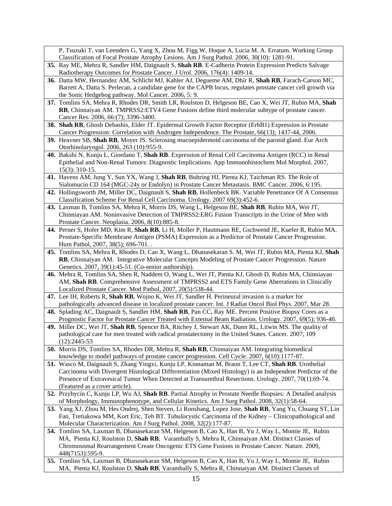| P, Tsuzuki T, van Leenders G, Yang X, Zhou M, Figg W, Hoque A, Lucia M. A. Erratum. Working Group                                                         |
|-----------------------------------------------------------------------------------------------------------------------------------------------------------|
| Classification of Focal Prostate Atrophy Lesions. Am J Surg Pathol. 2006, 30(10): 1281-91.                                                                |
| 35. Ray ME, Mehra R, Sandler HM, Daignault S, Shah RB. E-Cadherin Protein Expression Predicts Salvage                                                     |
| Radiotherapy Outcomes for Prostate Cancer. J Urol. 2006, 176(4): 1409-14.                                                                                 |
| 36. Datta MW, Hernandez AM, Schlicht MJ, Kahler AJ, Degueme AM, Dhir R, Shah RB, Farach-Carson MC,                                                        |
| Barrett A, Datta S. Perlecan, a candidate gene for the CAPB locus, regulates prostate cancer cell growth via                                              |
| the Sonic Hedgehog pathway. Mol Cancer. 2006, 5: 9.                                                                                                       |
| 37. Tomlins SA, Mehra R, Rhodes DR, Smith LR, Roulston D, Helgeson BE, Cao X, Wei JT, Rubin MA, Shah                                                      |
| RB, Chinnaiyan AM. TMPRSS2:ETV4 Gene Fusions define third molecular subtype of prostate cancer.                                                           |
| Cancer Res. 2006, 66:(7); 3396-3400.                                                                                                                      |
| 38. Shah RB, Ghosh Debashis, Elder JT. Epidermal Growth Factor Receptor (ErbB1) Expression in Prostate                                                    |
| Cancer Progression: Correlation with Androgen Independence. The Prostate, 66(13); 1437-44, 2006.                                                          |
| 39. Heavner SB, Shah RB, Moyer JS. Sclerosing mucoepidermoid carcinoma of the parotid gland. Eur Arch                                                     |
| Otorhinolaryngol. 2006, 263 (10):955-9.                                                                                                                   |
| 40. Bakshi N, Kunju L, Giordano T, Shah RB. Expression of Renal Cell Carcinoma Antigen (RCC) in Renal                                                     |
| Epithelial and Non-Renal Tumors: Diagnostic Implications. App Immunohistochem Mol Morphol. 2007,                                                          |
| $15(3)$ : 310-15.                                                                                                                                         |
| 41. Havens AM, Jung Y, Sun YX, Wang J, Shah RB, Buhring HJ, Pienta KJ, Taichman RS. The Role of                                                           |
| Sialomucin CD 164 (MGC-24y or Endolyn) in Prostate Cancer Metastasis. BMC Cancer. 2006, 6:195.                                                            |
| 42. Hollingsworth JM, Miller DC, Daignault S, Shah RB, Hollenbeck BK. Variable Penetrance Of A Consensus                                                  |
| Classification Scheme For Renal Cell Carcinoma. Urology. 2007 69(3):452-6.                                                                                |
| 43. Laxman B, Tomlins SA, Mehra R, Morris DS, Wang L, Helgeson BE, Shah RB, Rubin MA, Wei JT,                                                             |
| Chinniayan AM. Noninvasive Detection of TMPRSS2: ERG Fusion Transcripts in the Urine of Men with                                                          |
| Prostate Cancer. Neoplasia. 2006, 8(10):885-8.                                                                                                            |
| 44. Perner S, Hofer MD, Kim R, Shah RB, Li H, Moller P, Hautmann RE, Gschwend JE, Kuefer R, Rubin MA.                                                     |
| Prostate-Specific Membrane Antigen (PSMA) Expression as a Predictor of Prostate Cancer Progression.                                                       |
| Hum Pathol, 2007, 38(5); 696-701                                                                                                                          |
| 45. Tomlins SA, Mehra R, Rhodes D, Cao X, Wang L, Dhanasekaran S. M, Wei JT, Rubin MA, Pienta KJ, Shah                                                    |
| RB, Chinnaiyan AM. Integrative Molecular Concepts Modeling of Prostate Cancer Progression. Nature<br>Genetics. 2007, 39(1):45-51. (Co-senior authorship). |
| 46. Mehra R, Tomlins SA, Shen R, Naddem O, Wang L, Wei JT, Pienta KJ, Ghosh D, Rubin MA, Chinniayan                                                       |
| AM, Shah RB. Comprehensive Assessment of TMPRSS2 and ETS Family Gene Aberrations in Clinically                                                            |
| Localized Prostate Cancer. Mod Pathol, 2007, 20(5):538-44.                                                                                                |
| 47. Lee IH, Roberts R, Shah RB, Wojno K, Wei JT, Sandler H. Perineural invasion is a marker for                                                           |
| pathologically advanced disease in localized prostate cancer. Int. J Radiat Oncol Biol Phys. 2007, Mar 28.                                                |
| 48. Splading AC, Daignault S, Sandler HM, Shah RB, Pan CC, Ray ME. Percent Positive Biopsy Cores as a                                                     |
| Prognostic Factor for Prostate Cancer Treated with External Beam Radiation. Urology. 2007, 69(5); 936-40.                                                 |
| 49. Miller DC, Wei JT, Shah RB, Spencer BA, Ritchey J, Stewart AK, Dunn RL, Litwin MS. The quality of                                                     |
| pathological care for men treated with radical prostatectomy in the United States. Cancer. 2007, 109                                                      |
| $(12):2445-53$                                                                                                                                            |
| 50. Morris DS, Tomlins SA, Rhodes DR, Mehra R, Shah RB, Chinnaiyan AM. Integrating biomedical                                                             |
| knowledge to model pathways of prostate cancer progression. Cell Cycle. 2007, 6(10):1177-87.                                                              |
| 51. Wasco M, Daignault S, Zhang Yingxi, Kunju LP, Kinnaman M, Braun T, Lee CT, Shah RB. Urothelial                                                        |
| Carcinoma with Divergent Histological Differentiation (Mixed Histology) is an Independent Predictor of the                                                |
| Presence of Extravesical Tumor When Detected at Transurethral Resections. Urology. 2007, 70(1):69-74.                                                     |
| (Featured as a cover article).                                                                                                                            |
| 52. Przybycin C, Kunju LP, Wu AJ, Shah RB. Partial Atrophy in Prostate Needle Biopsies: A Detailed analysis                                               |
| of Morphology, Immunophenotype, and Cellular Kinetics. Am J Surg Pathol. 2008, 32(1):58-64.                                                               |
| 53. Yang XJ, Zhou M, Hes Ondrej, Shen Steven, Li Ronshang, Lopez Jose, Shah RB, Yang Yu, Chuang ST, Lin                                                   |
| Fan, Tretiakowa MM, Kort Eric, Teh BT. Tubulocystic Carcinoma of the Kidney - Clinicopathological and                                                     |
| Molecular Characterization. Am J Surg Pathol. 2008, 32(2):177-87.                                                                                         |
| 54. Tomlins SA, Laxman B, Dhanasekaran SM, Helgeson B, Cao X, Han B, Yu J, Way L, Montie JE, Rubin                                                        |
| MA, Pienta KJ, Roulston D, Shah RB, Varambally S, Mehra R, Chinnaiyan AM. Distinct Classes of                                                             |
| Chromosomal Rearrangement Create Oncogenic ETS Gene Fusions in Prostate Cancer. Nature. 2009,                                                             |
| 448(7153):595-9.                                                                                                                                          |
| 55. Tomlins SA, Laxman B, Dhanasekaran SM, Helgeson B, Cao X, Han B, Yu J, Way L, Montie JE, Rubin                                                        |
| MA, Pienta KJ, Roulston D, Shah RB, Varambally S, Mehra R, Chinnaiyan AM. Distinct Classes of                                                             |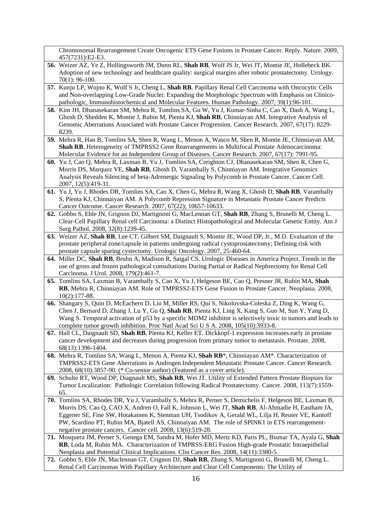Chromosomal Rearrangement Create Oncogenic ETS Gene Fusions in Prostate Cancer. Reply. Nature. 2009, 457(7231):E2-E3.

- **56.** Weizer AZ, Ye Z, Hollingsworth JM, Dunn RL, **Shah RB**, Wolf JS Jr, Wei JT, Montie JE, Hollebeck BK. Adoption of new technology and healthcare quality: surgical margins after robotic prostatectomy. Urology. 70(1): 96-100.
- **57.** Kunju LP, Wojno K, Wolf S Jr, Cheng L, **Shah RB**. Papillary Renal Cell Carcinoma with Oncocytic Cells and Non-overlapping Low-Grade Nuclei: Expanding the Morphologic Spectrum with Emphasis on Clinicopathologic, Immunohistochemical and Molecular Features. Human Pathology. 2007, 39(1):96-101.
- **58.** Kim JH, Dhanasekaran SM, Mehra R, Tomlins SA, Gu W, Yu J, Kumar-Sinha C, Cao X, Dash A, Wang L, Ghosh D, Shedden K, Montie J, Rubin M, Pienta KJ, **Shah RB**, Chinniayan AM. Integrative Analysis of Genomic Aberrations Associated with Prostate Cancer Progression. Cancer Research. 2007, 67(17): 8229- 8239.
- **59.** Mehra R, Han B, Tomlins SA, Shen R, Wang L, Menon A, Wasco M, Shen R, Montie JE, Chinniayan AM, **Shah RB.** Heterogeneity of TMPRSS2 Gene Rearrangements in Multifocal Prostate Adenocarcinoma: Molecular Evidence for an Independent Group of Diseases. Cancer Research. 2007, 67(17): 7991-95.
- **60.** Yu J, Cao Q, Mehra R, Laxman B, Yu J, Tomlins SA, Creighton CJ, Dhanasekaran SM, Shen R, Chen G, Morris DS, Marquez VE, **Shah RB**, Ghosh D, Varambally S, Chinniayan AM. Integrative Genomics Analysis Reveals Silencing of beta-Adrenergic Signaling by Polycomb in Prostate Cancer. Cancer Cell. 2007, 12(5):419-31.
- **61.** Yu J, Yu J, Rhodes DR, Tomlins SA, Cao X, Chen G, Mehra R, Wang X, Ghosh D, **Shah RB**, Varambally S, Pienta KJ, Chinnaiyan AM. A Polycomb Repression Signature in Metastatic Prostate Cancer Predicts Cancer Outcome. Cancer Research. 2007, 67(22); 10657-10633.
- **62.** Gobbo S, Eble JN, Grignon DJ, Martignoni G, MacLennan GT, **Shah RB**, Zhang S, Brunelli M, Cheng L. Clear-Cell Papillary Renal cell Carcinoma: a Distinct Histopathological and Molecular Genetic Entity. Am J Surg Pathol. 2008, 32(8):1239-45.
- **63.** Weizer AZ, **Shah RB**, Lee CT, Gilbert SM, Daignault S, Montie JE, Wood DP, Jr., M.D. Evaluation of the prostate peripheral zone/capsule in patients undergoing radical cystoprostatectomy; Defining risk with prostate capsule sparing cystectomy. Urologic Oncology. 2007, 25:460-64.
- **64.** Miller DC, **Shah RB**, Bruhn A, Madison R, Saigal CS. Urologic Diseases in America Project. Trends in the use of gross and frozen pathological consultations During Partial or Radical Nephrectomy for Renal Cell Carcinoma. J Urol. 2008, 179(2):461-7.
- **65.** Tomlins SA, Laxman B, Varambally S, Cao X, Yu J, Helgeson BE, Cao Q, Presner JR, Rubin MA, **Shah RB**, Mehra R, Chinniayan AM. Role of TMPRSS2-ETS Gene Fusion in Prostate Cancer. Neoplasia. 2008, 10(2):177-88.
- **66.** Shangary S, Quin D, McEachern D, Liu M, Miller RS, Qui S, Nikolovska-Coleska Z, Ding K, Wang G, Chen J, Bernard D, Zhang J, Lu Y, Gu Q, **Shah RB**, Pienta KJ, Ling X, Kang S, Guo M, Sun Y, Yang D, Wang S. Temporal activation of p53 by a specific MDM2 inhibitor is selectively toxic to tumors and leads to complete tumor growth inhibition. Proc Natl Acad Sci U S A. 2008, 105(10):3933-8.
- **67.** Hall CL, Daignault SD, **Shah RB**, Pienta KJ, Keller ET. Dickkopf-1 expression increases early in prostate cancer development and decreases during progression from primary tumor to metastasis. Prostate. 2008, 68(13):1396-1404.
- **68.** Mehra R, Tomlins SA, Wang L, Menon A, Pienta KJ, **Shah RB**\*, Chinniayan AM\*. Characterization of TMPRSS2-ETS Gene Aberrations in Androgen Independent Metastatic Prostate Cancer. Cancer Research. 2008, 68(10):3857-90. (\* Co-senior author) (Featured as a cover article).
- **69.** Schulte RT, Wood DP, Diagnault MS, **Shah RB**, Wei JT. Utility of Extended Pattern Prostate Biopsies for Tumor Localization: Pathologic Correlation following Radical Prostatectomy. Cancer. 2008, 113(7):1559- 65.
- **70.** Tomlins SA, Rhodes DR, Yu J, Varambally S, Mehra R, Perner S, Demichelis F, Helgeson BE, Laxman B, Morris DS, Cao Q, CAO X, Andren O, Fall K, Johnson L, Wei JT, **Shah RB**, Al-Ahmadie H, Eastham JA, Eggener SE, Fine SW, Hotakainen K, Stenman UH, Tsodikov A, Gerald WL, Lilja H, Reuter VE, Kantoff PW, Scardino PT, Rubin MA, Bjatell AS, Chinnaiyan AM. The role of SPINK1 in ETS rearrangementnegative prostate cancers. Cancer cell. 2008, 13(6):519-28.
- **71.** Mosquera JM, Perner S, Genega EM, Sandra M, Hofer MD, Mertz KD, Paris PL, Bismar TA, Ayala G, **Shah RB**, Loda M, Rubin MA. Characterization of TMPRSS-ERG Fusion High-grade Prostatic Intraepithelial Neoplasia and Potential Clinical Implications. Clin Cancer Res. 2008, 14(11):3380-5.
- **72.** Gobbo S, Eble JN, Maclennan GT, Crignon DJ, **Shah RB**, Zhang S, Martignoni G, Brunelli M, Cheng L. Renal Cell Carcinomas With Papillary Architecture and Clear Cell Components: The Utility of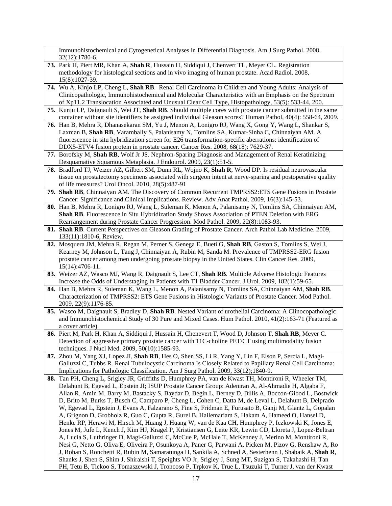Immunohistochemical and Cytogenetical Analyses in Differential Diagnosis. Am J Surg Pathol. 2008, 32(12):1780-6.

- **73.** Park H, Piert MR, Khan A, **Shah R**, Hussain H, Siddiqui J, Chenvert TL, Meyer CL. Registration methodology for histological sections and in vivo imaging of human prostate. Acad Radiol. 2008, 15(8):1027-39.
- **74.** Wu A, Kinjo LP, Cheng L, **Shah RB**. Renal Cell Carcinoma in Children and Young Adults: Analysis of Clinicopathologic, Immunohistochemical and Molecular Characteristics with an Emphasis on the Spectrum of Xp11.2 Translocation Associated and Unusual Clear Cell Type, Histopathology, 53(5): 533-44, 200.
- **75.** Kunju LP, Daignault S, Wei JT, **Shah RB**. Should multiple cores with prostate cancer submitted in the same container without site identifiers be assigned individual Gleason scores? Human Pathol, 40(4): 558-64, 2009.
- **76.** Han B, Mehra R, Dhanasekaran SM, Yu J, Menon A, Lonigro RJ, Wang X, Gong Y, Wang L, Shankar S, Laxman B, **Shah RB**, Varambally S, Palanisamy N, Tomlins SA, Kumar-Sinha C, Chinnaiyan AM. A fluorescence in situ hybridization screen for E26 transformation-specific aberrations: identification of DDX5-ETV4 fusion protein in prostate cancer. Cancer Res. 2008, 68(18): 7629-37.
- **77.** Borofsky M, **Shah RB**, Wolf Jr JS. Nephron-Sparing Diagnosis and Management of Renal Keratinizing Desquamative Squamous Metaplasia. J Endourol. 2009, 23(1):51-5.
- **78.** Bradford TJ, Weizer AZ, Gilbert SM, Dunn RL, Wojno K, **Shah R**, Wood DP. Is residual neurovascular tissue on prostatectomy specimens associated with surgeon intent at nerve-sparing and postoperative quality of life measures? Urol Oncol. 2010, 28(5):487-91
- **79. Shah RB**, Chinnaiyan AM. The Discovery of Common Recurrent TMPRSS2:ETS Gene Fusions in Prostate Cancer: Significance and Clinical Implications. Review. Adv Anat Pathol. 2009, 16(3):145-53.
- **80.** Han B, Mehra R, Lonigro RJ, Wang L, Suleman K, Menon A, Palanisamy N, Tomlins SA, Chinnaiyan AM, **Shah RB**. Fluorescence in Situ Hybridization Study Shows Association of PTEN Deletion with ERG Rearrangement during Prostate Cancer Progression. Mod Pathol. 2009, 22(8):1083-93.
- **81. Shah RB**. Current Perspectives on Gleason Grading of Prostate Cancer. Arch Pathol Lab Medicine. 2009, 133(11):1810-6, Review.
- **82.** Mosquera JM, Mehra R, Regan M, Perner S, Genega E, Bueti G, **Shah RB**, Gaston S, Tomlins S, Wei J, Kearney M, Johnson L, Tang J, Chinnaiyan A, Rubin M, Sanda M. Prevalence of TMPRSS2-ERG fusion prostate cancer among men undergoing prostate biopsy in the United States. Clin Cancer Res. 2009, 15(14):4706-11.
- **83.** Weizer AZ, Wasco MJ, Wang R, Daignault S, Lee CT, **Shah RB**. Multiple Adverse Histologic Features Increase the Odds of Understaging in Patients with T1 Bladder Cancer. J Urol. 2009, 182(1):59-65.
- **84.** Han B, Mehra R, Suleman K, Wang L, Menon A, Palanisamy N, Tomlins SA, Chinnaiyan AM, **Shah RB**. Characterization of TMPRSS2: ETS Gene Fusions in Histologic Variants of Prostate Cancer. Mod Pathol. 2009, 22(9):1176-85.
- **85.** Wasco M, Daignault S, Bradley D, **Shah RB**. Nested Variant of urothelial Carcinoma: A Clinocopathologic and Immunohistochemical Study of 30 Pure and Mixed Cases. Hum Pathol. 2010, 41(2):163-71 (Featured as a cover article).
- **86.** Piert M, Park H, Khan A, Siddiqui J, Hussain H, Chenevert T, Wood D, Johnson T, **Shah RB**, Meyer C. Detection of aggressive primary prostate cancer with 11C-choline PET/CT using multimodality fusion techniques. J Nucl Med. 2009, 50(10):1585-93.
- **87.** Zhou M, Yang XJ, Lopez JI, **Shah RB**, Hes O, Shen SS, Li R, Yang Y, Lin F, Elson P, Sercia L, Magi-Galluzzi C, Tubbs R. Renal Tubulocystic Carcinoma Is Closely Related to Papillary Renal Cell Carcinoma: Implications for Pathologic Classification. Am J Surg Pathol. 2009, 33(12);1840-9.
- **88.** Tan PH, Cheng L, Srigley JR, Griffiths D, Humphrey PA, van de Kwast TH, Montironi R, Wheeler TM, Delahunt B, Egevad L, Epstein JI; ISUP Prostate Cancer Group: Adeniran A, Al-Ahmadie H, Algaba F, Allan R, Amin M, Barry M, Bastacky S, Baydar D, Bégin L, Berney D, Billis A, Boccon-Gibod L, Bostwick D, Brito M, Burks T, Busch C, Camparo P, Cheng L, Cohen C, Datta M, de Leval L, Delahunt B, Delprado W, Egevad L, Epstein J, Evans A, Falzarano S, Fine S, Fridman E, Furusato B, Ganji M, Glantz L, Gopalan A, Grignon D, Grobholz R, Guo C, Gupta R, Gurel B, Hailemariam S, Hakam A, Hameed O, Hansel D, Henke RP, Herawi M, Hirsch M, Huang J, Huang W, van de Kaa CH, Humphrey P, Iczkowski K, Jones E, Jones M, Jufe L, Kench J, Kim HJ, Kragel P, Kristiansen G, Leite KR, Lewin CD, Lloreta J, Lopez-Beltran A, Lucia S, Luthringer D, Magi-Galluzzi C, McCue P, McHale T, McKenney J, Merino M, Montironi R, Nesi G, Netto G, Oliva E, Oliveira P, Osunkoya A, Paner G, Parwani A, Picken M, Pizov G, Renshaw A, Ro J, Rohan S, Ronchetti R, Rubin M, Samaratunga H, Sankila A, Schned A, Sesterhenn I, Shabaik A, **Shah R**, Shanks J, Shen S, Shim J, Shiraishi T, Speights VO Jr, Srigley J, Sung MT, Suzigan S, Takahashi H, Tan PH, Tetu B, Tickoo S, Tomaszewski J, Troncoso P, Trpkov K, True L, Tsuzuki T, Turner J, van der Kwast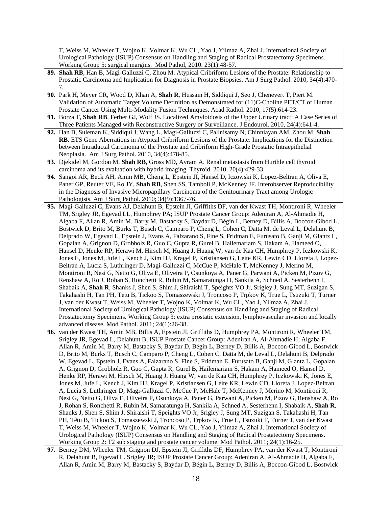T, Weiss M, Wheeler T, Wojno K, Volmar K, Wu CL, Yao J, Yilmaz A, Zhai J. International Society of Urological Pathology (ISUP) Consensus on Handling and Staging of Radical Prostatectomy Specimens. Working Group 5: surgical margins. Mod Pathol, 2010. 23(1):48-57.

- **89. Shah RB**, Han B, Magi-Galluzzi C, Zhou M. Atypical Cribriform Lesions of the Prostate: Relationship to Prostatic Carcinoma and Implication for Diagnosis in Prostate Biopsies. Am J Surg Pathol. 2010, 34(4):470- 7.
- **90.** Park H, Meyer CR, Wood D, Khan A, **Shah R**, Hussain H, Siddiqui J, Seo J, Chenevert T, Piert M. Validation of Automatic Target Volume Definition as Demonstrated for (11)C-Choline PET/CT of Human Prostate Cancer Using Multi-Modality Fusion Techniques. Acad Radiol. 2010, 17(5):614-23.
- **91.** Borza T, **Shah RB**, Ferber GJ, Wolf JS. Localized Amyloidosis of the Upper Urinary tract: A Case Series of Three Patients Managed with Reconstructive Surgery or Surveillance. J Endourol. 2010, 24(4):641-4.
- **92.** Han B, Suleman K, Siddiqui J, Wang L, Magi-Galluzzi C, Pallnisamy N, Chinniayan AM, Zhou M, **Shah RB**. ETS Gene Aberrations in Atypical Cribriform Lesions of the Prostate: Implications for the Distinction between Intraductal Carcinoma of the Prostate and Cribriform High-Grade Prostatic Intraepithelial Neoplasia. Am J Surg Pathol. 2010, 34(4):478-85.
- **93.** Djekidel M, Gordon M, **Shah RB**, Gross MD, Avram A. Renal metastasis from Hurthle cell thyroid carcinoma and its evaluation with hybrid imaging. Thyroid. 2010, 20(4):429-33.
- **94.** Sangoi AR, Beck AH, Amin MB, Cheng L, Epstein JI, Hansel D, Iczowski K, Lopez-Beltran A, Oliva E, Paner GP, Reuter VE, Ro JY, **Shah RB**, Shen SS, Tamboli P, McKenney JF. Interobserver Reproducibility in the Diagnosis of Invasive Micropapillary Carcinoma of the Genitourinary Tract among Urologic Pathologists. Am J Surg Pathol. 2010; 34(9):1367-76.
- **95.** Magi-Galluzzi C, Evans AJ, Delahunt B, Epstein JI, Griffiths DF, van der Kwast TH, Montironi R, Wheeler TM, Srigley JR, Egevad LL, Humphrey PA; ISUP Prostate Cancer Group: Adeniran A, Al-Ahmadie H, Algaba F, Allan R, Amin M, Barry M, Bastacky S, Baydar D, Bégin L, Berney D, Billis A, Boccon-Gibod L, Bostwick D, Brito M, Burks T, Busch C, Camparo P, Cheng L, Cohen C, Datta M, de Leval L, Delahunt B, Delprado W, Egevad L, Epstein J, Evans A, Falzarano S, Fine S, Fridman E, Furusato B, Ganji M, Glantz L, Gopalan A, Grignon D, Grobholz R, Guo C, Gupta R, Gurel B, Hailemariam S, Hakam A, Hameed O, Hansel D, Henke RP, Herawi M, Hirsch M, Huang J, Huang W, van de Kaa CH, Humphrey P, Iczkowski K, Jones E, Jones M, Jufe L, Kench J, Kim HJ, Kragel P, Kristiansen G, Leite KR, Lewin CD, Lloreta J, Lopez-Beltran A, Lucia S, Luthringer D, Magi-Galluzzi C, McCue P, McHale T, McKenney J, Merino M, Montironi R, Nesi G, Netto G, Oliva E, Oliveira P, Osunkoya A, Paner G, Parwani A, Picken M, Pizov G, Renshaw A, Ro J, Rohan S, Ronchetti R, Rubin M, Samaratunga H, Sankila A, Schned A, Sesterhenn I, Shabaik A, **Shah R**, Shanks J, Shen S, Shim J, Shiraishi T, Speights VO Jr, Srigley J, Sung MT, Suzigan S, Takahashi H, Tan PH, Tetu B, Tickoo S, Tomaszewski J, Troncoso P, Trpkov K, True L, Tsuzuki T, Turner J, van der Kwast T, Weiss M, Wheeler T, Wojno K, Volmar K, Wu CL, Yao J, Yilmaz A, Zhai J. International Society of Urological Pathology (ISUP) Consensus on Handling and Staging of Radical Prostatectomy Specimens. Working Group 3: extra prostatic extension, lymphovascular invasion and locally advanced disease. Mod Pathol. 2011; 24(1):26-38.
- **96.** van der Kwast TH, Amin MB, Billis A, Epstein JI, Griffiths D, Humphrey PA, Montironi R, Wheeler TM, Srigley JR, Egevad L, Delahunt B; ISUP Prostate Cancer Group: Adeniran A, Al-Ahmadie H, Algaba F, Allan R, Amin M, Barry M, Bastacky S, Baydar D, Bégin L, Berney D, Billis A, Boccon-Gibod L, Bostwick D, Brito M, Burks T, Busch C, Camparo P, Cheng L, Cohen C, Datta M, de Leval L, Delahunt B, Delprado W, Egevad L, Epstein J, Evans A, Falzarano S, Fine S, Fridman E, Furusato B, Ganji M, Glantz L, Gopalan A, Grignon D, Grobholz R, Guo C, Gupta R, Gurel B, Hailemariam S, Hakam A, Hameed O, Hansel D, Henke RP, Herawi M, Hirsch M, Huang J, Huang W, van de Kaa CH, Humphrey P, Iczkowski K, Jones E, Jones M, Jufe L, Kench J, Kim HJ, Kragel P, Kristiansen G, Leite KR, Lewin CD, Lloreta J, Lopez-Beltran A, Lucia S, Luthringer D, Magi-Galluzzi C, McCue P, McHale T, McKenney J, Merino M, Montironi R, Nesi G, Netto G, Oliva E, Oliveira P, Osunkoya A, Paner G, Parwani A, Picken M, Pizov G, Renshaw A, Ro J, Rohan S, Ronchetti R, Rubin M, Samaratunga H, Sankila A, Schned A, Sesterhenn I, Shabaik A, **Shah R**, Shanks J, Shen S, Shim J, Shiraishi T, Speights VO Jr, Srigley J, Sung MT, Suzigan S, Takahashi H, Tan PH, Têtu B, Tickoo S, Tomaszewski J, Troncoso P, Trpkov K, True L, Tsuzuki T, Turner J, van der Kwast T, Weiss M, Wheeler T, Wojno K, Volmar K, Wu CL, Yao J, Yilmaz A, Zhai J. International Society of Urological Pathology (ISUP) Consensus on Handling and Staging of Radical Prostatectomy Specimens. Working Group 2: T2 sub staging and prostate cancer volume. Mod Pathol. 2011; 24(1):16-25.
- **97.** Berney DM, Wheeler TM, Grignon DJ, Epstein JI, Griffiths DF, Humphrey PA, van der Kwast T, Montironi R, Delahunt B, Egevad L. Srigley JR; ISUP Prostate Cancer Group: Adeniran A, Al-Ahmadie H, Algaba F, Allan R, Amin M, Barry M, Bastacky S, Baydar D, Bégin L, Berney D, Billis A, Boccon-Gibod L, Bostwick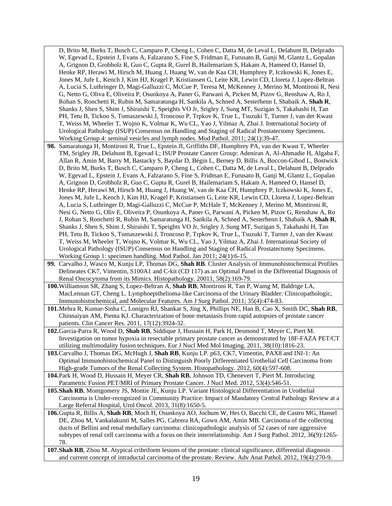D, Brito M, Burks T, Busch C, Camparo P, Cheng L, Cohen C, Datta M, de Leval L, Delahunt B, Delprado W, Egevad L, Epstein J, Evans A, Falzarano S, Fine S, Fridman E, Furusato B, Ganji M, Glantz L, Gopalan A, Grignon D, Grobholz R, Guo C, Gupta R, Gurel B, Hailemariam S, Hakam A, Hameed O, Hansel D, Henke RP, Herawi M, Hirsch M, Huang J, Huang W, van de Kaa CH, Humphrey P, Iczkowski K, Jones E, Jones M, Jufe L, Kench J, Kim HJ, Kragel P, Kristiansen G, Leite KR, Lewin CD, Lloreta J, Lopez-Beltran A, Lucia S, Luthringer D, Magi-Galluzzi C, McCue P, Teresa M, McKenney J, Merino M, Montironi R, Nesi G, Netto G, Oliva E, Oliveira P, Osunkoya A, Paner G, Parwani A, Picken M, Pizov G, Renshaw A, Ro J, Rohan S, Ronchetti R, Rubin M, Samaratunga H, Sankila A, Schned A, Sesterhenn I, Shabaik A, **Shah R**, Shanks J, Shen S, Shim J, Shiraishi T, Speights VO Jr, Srigley J, Sung MT, Suzigan S, Takahashi H, Tan PH, Tetu B, Tickoo S, Tomaszewski J, Troncoso P, Trpkov K, True L, Tsuzuki T, Turner J, van der Kwast T, Weiss M, Wheeler T, Wojno K, Volmar K, Wu CL, Yao J, Yilmaz A, Zhai J. International Society of Urological Pathology (ISUP) Consensus on Handling and Staging of Radical Prostatectomy Specimens. Working Group 4: seminal vesicles and lymph nodes. Mod Pathol. 2011; 24(1):39-47.

- **98.** Samaratunga H, Montironi R, True L, Epstein JI, Griffiths DF, Humphrey PA, van der Kwast T, Wheeler TM, Srigley JR, Delahunt B, Egevad L; ISUP Prostate Cancer Group: Adeniran A, Al-Ahmadie H, Algaba F, Allan R, Amin M, Barry M, Bastacky S, Baydar D, Bégin L, Berney D, Billis A, Boccon-Gibod L, Bostwick D, Brito M, Burks T, Busch C, Camparo P, Cheng L, Cohen C, Datta M, de Leval L, Delahunt B, Delprado W, Egevad L, Epstein J, Evans A, Falzarano S, Fine S, Fridman E, Furusato B, Ganji M, Glantz L, Gopalan A, Grignon D, Grobholz R, Guo C, Gupta R, Gurel B, Hailemariam S, Hakam A, Hameed O, Hansel D, Henke RP, Herawi M, Hirsch M, Huang J, Huang W, van de Kaa CH, Humphrey P, Iczkowski K, Jones E, Jones M, Jufe L, Kench J, Kim HJ, Kragel P, Kristiansen G, Leite KR, Lewin CD, Lloreta J, Lopez-Beltran A, Lucia S, Luthringer D, Magi-Galluzzi C, McCue P, McHale T, McKenney J, Merino M, Montironi R, Nesi G, Netto G, Oliv E, Oliveira P, Osunkoya A, Paner G, Parwani A, Picken M, Pizov G, Renshaw A, Ro J, Rohan S, Ronchetti R, Rubin M, Samaratunga H, Sankila A, Schned A, Sesterhenn I, Shabaik A, **Shah R**, Shanks J, Shen S, Shim J, Shiraishi T, Speights VO Jr, Srigley J, Sung MT, Suzigan S, Takahashi H, Tan PH, Tetu B, Tickoo S, Tomaszewski J, Troncoso P, Trpkov K, True L, Tsuzuki T, Turner J, van der Kwast T, Weiss M, Wheeler T, Wojno K, Volmar K, Wu CL, Yao J, Yilmaz A, Zhai J. International Society of Urological Pathology (ISUP) Consensus on Handling and Staging of Radical Prostatectomy Specimens. Working Group 1: specimen handling. Mod Pathol. Jan 2011; 24(1):6-15.
- **99.** Carvalho J, Wasco M, Kunju LP, Thomas DG, **Shah RB**. Cluster Analysis of Immunohistochemical Profiles Delineates CK7, Vimentin, S100A1 and C-kit (CD 117) as an Optimal Panel in the Differential Diagnosis of Renal Oncocytoma from its Mimics. Histopathology. 20011, 58(2):169-79.
- **100.**Williamson SR, Zhang S, Lopez-Beltran A, **Shah RB**, Montironi R, Tan P, Wamg M, Baldrige LA, MacLennan GT, Cheng L. Lymphoepithelioma-like Carcinoma of the Urinary Bladder: Clinicopathologic, Immunohistochemical, and Molecular Features. Am J Surg Pathol. 2011; 35(4):474-83.
- **101.**Mehra R, Kumar-Sinha C, Lonigro RJ, Shankar S, Jing X, Phillips NE, Han B, Cao X, Smith DC, **Shah RB**, Chinnaiyan AM, Pienta KJ. Characterization of bone metastasis from rapid autopsies of prostate cancer patients. Clin Cancer Res. 2011, 17(12):3924-32.
- **102.**Garcia-Parra R, Wood D, **Shah RB**, Siddique J, Hussain H, Park H, Desmond T, Meyer C, Piert M. Investigation on tumor hypoxia in resectable primary prostate cancer as demonstrated by 18F-FAZA PET/CT utilizing multimodality fusion techniques. Eur J Nucl Med Mol Imaging. 2011, 38(10):1816-23.
- **103.**Carvalho J, Thomas DG, McHugh J, **Shah RB**, Kunju LP. p63, CK7, Vimentin, PAX8 and INI-1: An Optimal Immunohistochemical Panel to Distinguish Poorly Differentiated Urothelial Cell Carcinoma from High-grade Tumors of the Renal Collecting System. Histopathology. 2012, 60(4):597-608.
- **104.**Park H, Wood D, Hussain H, Meyer CR, **Shah RB**, Johnson TD, Chenevert T, Piert M. Introducing Parametric Fusion PET/MRI of Primary Prostate Cancer. J Nucl Med. 2012, 53(4):546-51.
- **105.Shah RB**, Montgomery JS, Montie JE, Kunju LP. Variant Histological Differentiation in Urothelial Carcinoma is Under-recognized in Community Practice: Impact of Mandatory Central Pathology Review at a Large Referral Hospital, Urol Oncol. 2013, 31(8):1650-5.

**106.**Gupta R, Billis A, **Shah RB**, Moch H, Osunkoya AO, Jochum W, Hes O, Bacchi CE, de Castro MG, Hansel DE, Zhou M, Vankalakunti M, Salles PG, Cabrera RA, Gown AM, Amin MB. Carcinoma of the collecting ducts of Bellini and renal medullary carcinoma: clinicopathologic analysis of 52 cases of rare aggressive subtypes of renal cell carcinoma with a focus on their interrelationship. Am J Surg Pathol. 2012, 36(9):1265- 78.

**107.Shah RB**, Zhou M. Atypical cribriform lesions of the prostate: clinical significance, differential diagnosis and current concept of intraductal carcinoma of the prostate. Review. Adv Anat Pathol. 2012, 19(4):270-9.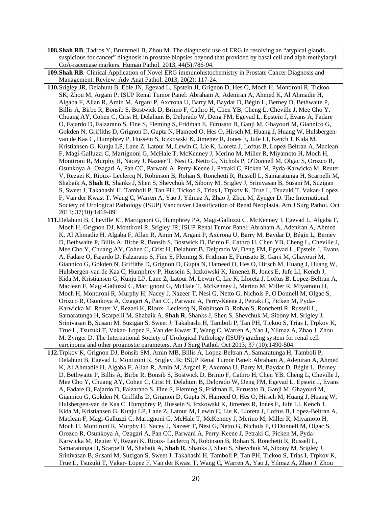- **108.Shah RB**, Tadros Y, Brummell B, Zhou M. The diagnostic use of ERG in resolving an "atypical glands suspicious for cancer" diagnosis in prostate biopsies beyond that provided by basal cell and alph-methylacyl-CoA-racemase markers. Human Pathol. 2013, 44(5):786-94.
- **109.Shah RB**. Clinical Application of Novel ERG immunohistochemistry in Prostate Cancer Diagnosis and Management. Review. Adv Anat Pathol. 2013, 20(2): 117-24.
- **110.**Srigley JR, Delahunt B, Eble JN, Egevad L, Epstein JI, Grignon D, Hes O, Moch H, Montironi R, Tickoo SK, Zhou M, Argani P; ISUP Renal Tumor Panel: Abraham A, Adeniran A, Ahmed K, Al Ahmadie H, Algaba F, Allan R, Amin M, Argani P, Axcrona U, Barry M, Baydar D, Bégin L, Berney D, Bethwaite P, Billis A, Birbe R, Bonsib S, Bostwick D, Brimo F, Cathro H, Chen YB, Cheng L, Cheville J, Mee Cho Y, Chuang AY, Cohen C, Crist H, Delahunt B, Delprado W, Deng FM, Egevad L, Epstein J, Evans A, Fadare O, Fajardo D, Falzarano S, Fine S, Fleming S, Fridman E, Furusato B, Ganji M, Ghayouri M, Giannico G, Gokden N, Griffiths D, Grignon D, Gupta N, Hameed O, Hes O, Hirsch M, Huang J, Huang W, Hulsbergenvan de Kaa C, Humphrey P, Hussein S, Iczkowski K, Jimenez R, Jones E, Jufe LI, Kench J, Kida M, Kristiansen G, Kunju LP, Lane Z, Latour M, Lewin C, Lie K, Lloreta J, Loftus B, Lopez-Beltran A, Maclean F, Magi-Galluzzi C, Martignoni G, McHale T, McKenney J, Merino M, Miller R, Miyamoto H, Moch H, Montironi R, Murphy H, Nacey J, Nazeer T, Nesi G, Netto G, Nichols P, O'Donnell M, Olgac S, Orozco R, Osunkoya A, Ozagari A, Pan CC, Parwani A, Perry-Keene J, Petraki C, Picken M, Pyda-Karwicka M, Reuter V, Rezaei K, Rioux- Leclercq N, Robinson B, Rohan S, Ronchetti R, Russell L, Samaratunga H, Scarpelli M, Shabaik A, **Shah R**, Shanks J, Shen S, Shevchuk M, Sibony M, Srigley J, Srinivasan B, Susani M, Suzigan S, Sweet J, Takahashi H, Tamboli P, Tan PH, Tickoo S, Trias I, Trpkov K, True L, Tsuzuki T, Vakar- Lopez F, Van der Kwast T, Wang C, Warren A, Yao J, Yilmaz A, Zhao J, Zhou M, Zynger D. The International Society of Urological Pathology (ISUP) Vancouver Classification of Renal Neoplasia. Am J Surg Pathol. Oct 2013; 37(10):1469-89.

**111.**Delahunt B, Cheville JC, Martignoni G, Humphrey PA, Magi-Galluzzi C, McKenney J, Egevad L, Algaba F, Moch H, Grignon DJ, Montironi R, Srigley JR; ISUP Renal Tumor Panel: Abraham A, Adeniran A, Ahmed K, Al Ahmadie H, Algaba F, Allan R, Amin M, Argani P, Axcrona U, Barry M, Baydar D, Bégin L, Berney D, Bethwaite P, Billis A, Birbe R, Bonsib S, Bostwick D, Brimo F, Cathro H, Chen YB, Cheng L, Cheville J, Mee Cho Y, Chuang AY, Cohen C, Crist H, Delahunt B, Delprado W, Deng FM, Egevad L, Epstein J, Evans A, Fadare O, Fajardo D, Falzarano S, Fine S, Fleming S, Fridman E, Furusato B, Ganji M, Ghayouri M, Giannico G, Gokden N, Griffiths D, Grignon D, Gupta N, Hameed O, Hes O, Hirsch M, Huang J, Huang W, Hulsbergen-van de Kaa C, Humphrey P, Hussein S, Iczkowski K, Jimenez R, Jones E, Jufe LI, Kench J, Kida M, Kristiansen G, Kunju LP, Lane Z, Latour M, Lewin C, Lie K, Lloreta J, Loftus B, Lopez-Beltran A, Maclean F, Magi-Galluzzi C, Martignoni G, McHale T, McKenney J, Merino M, Miller R, Miyamoto H, Moch H, Montironi R, Murphy H, Nacey J, Nazeer T, Nesi G, Netto G, Nichols P, O'Donnell M, Olgac S, Orozco R, Osunkoya A, Ozagari A, Pan CC, Parwani A, Perry-Keene J, Petraki C, Picken M, Pyda-Karwicka M, Reuter V, Rezaei K, Rioux- Leclercq N, Robinson B, Rohan S, Ronchetti R, Russell L, Samaratunga H, Scarpelli M, Shabaik A, **Shah R**, Shanks J, Shen S, Shevchuk M, Sibony M, Srigley J, Srinivasan B, Susani M, Suzigan S, Sweet J, Takahashi H, Tamboli P, Tan PH, Tickoo S, Trias I, Trpkov K, True L, Tsuzuki T, Vakar- Lopez F, Van der Kwast T, Wang C, Warren A, Yao J, Yilmaz A, Zhao J, Zhou M, Zynger D. The International Society of Urological Pathology (ISUP) grading system for renal cell carcinoma and other prognostic parameters. Am J Surg Pathol. Oct 2013; 37 (10):1490-504.

**112.**Trpkov K, Grignon DJ, Bonsib SM, Amin MB, Billis A, Lopez-Beltran A, Samaratunga H, Tamboli P, Delahunt B, Egevad L, Montironi R, Srigley JR; ISUP Renal Tumor Panel: Abraham A, Adeniran A, Ahmed K, Al Ahmadie H, Algaba F, Allan R, Amin M, Argani P, Axcrona U, Barry M, Baydar D, Bégin L, Berney D, Bethwaite P, Billis A, Birbe R, Bonsib S, Bostwick D, Brimo F, Cathro H, Chen YB, Cheng L, Cheville J, Mee Cho Y, Chuang AY, Cohen C, Crist H, Delahunt B, Delprado W, Deng FM, Egevad L, Epstein J, Evans A, Fadare O, Fajardo D, Falzarano S, Fine S, Fleming S, Fridman E, Furusato B, Ganji M, Ghayouri M, Giannico G, Gokden N, Griffiths D, Grignon D, Gupta N, Hameed O, Hes O, Hirsch M, Huang J, Huang W, Hulsbergen-van de Kaa C, Humphrey P, Hussein S, Iczkowski K, Jimenez R, Jones E, Jufe LI, Kench J, Kida M, Kristiansen G, Kunju LP, Lane Z, Latour M, Lewin C, Lie K, Lloreta J, Loftus B, Lopez-Beltran A, Maclean F, Magi-Galluzzi C, Martignoni G, McHale T, McKenney J, Merino M, Miller R, Miyamoto H, Moch H, Montironi R, Murphy H, Nacey J, Nazeer T, Nesi G, Netto G, Nichols P, O'Donnell M, Olgac S, Orozco R, Osunkoya A, Ozagari A, Pan CC, Parwani A, Perry-Keene J, Petraki C, Picken M, Pyda-Karwicka M, Reuter V, Rezaei K, Rioux- Leclercq N, Robinson B, Rohan S, Ronchetti R, Russell L, Samaratunga H, Scarpelli M, Shabaik A, **Shah R**, Shanks J, Shen S, Shevchuk M, Sibony M, Srigley J, Srinivasan B, Susani M, Suzigan S, Sweet J, Takahashi H, Tamboli P, Tan PH, Tickoo S, Trias I, Trpkov K, True L, Tsuzuki T, Vakar- Lopez F, Van der Kwast T, Wang C, Warren A, Yao J, Yilmaz A, Zhao J, Zhou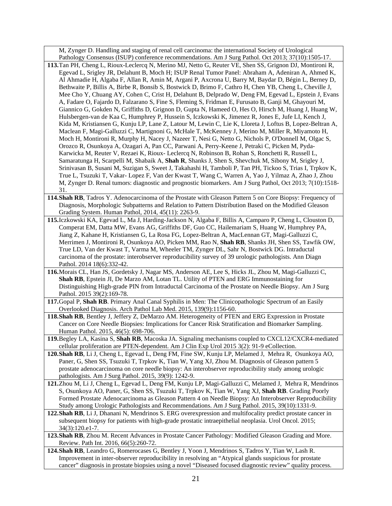M, Zynger D. Handling and staging of renal cell carcinoma: the international Society of Urological Pathology Consensus (ISUP) conference recommendations. Am J Surg Pathol. Oct 2013; 37(10):1505-17.

- **113.**Tan PH, Cheng L, Rioux-Leclercq N, Merino MJ, Netto G, Reuter VE, Shen SS, Grignon DJ, Montironi R, Egevad L, Srigley JR, Delahunt B, Moch H; ISUP Renal Tumor Panel: Abraham A, Adeniran A, Ahmed K, Al Ahmadie H, Algaba F, Allan R, Amin M, Argani P, Axcrona U, Barry M, Baydar D, Bégin L, Berney D, Bethwaite P, Billis A, Birbe R, Bonsib S, Bostwick D, Brimo F, Cathro H, Chen YB, Cheng L, Cheville J, Mee Cho Y, Chuang AY, Cohen C, Crist H, Delahunt B, Delprado W, Deng FM, Egevad L, Epstein J, Evans A, Fadare O, Fajardo D, Falzarano S, Fine S, Fleming S, Fridman E, Furusato B, Ganji M, Ghayouri M, Giannico G, Gokden N, Griffiths D, Grignon D, Gupta N, Hameed O, Hes O, Hirsch M, Huang J, Huang W, Hulsbergen-van de Kaa C, Humphrey P, Hussein S, Iczkowski K, Jimenez R, Jones E, Jufe LI, Kench J, Kida M, Kristiansen G, Kunju LP, Lane Z, Latour M, Lewin C, Lie K, Lloreta J, Loftus B, Lopez-Beltran A, Maclean F, Magi-Galluzzi C, Martignoni G, McHale T, McKenney J, Merino M, Miller R, Miyamoto H, Moch H, Montironi R, Murphy H, Nacey J, Nazeer T, Nesi G, Netto G, Nichols P, O'Donnell M, Olgac S, Orozco R, Osunkoya A, Ozagari A, Pan CC, Parwani A, Perry-Keene J, Petraki C, Picken M, Pyda-Karwicka M, Reuter V, Rezaei K, Rioux- Leclercq N, Robinson B, Rohan S, Ronchetti R, Russell L, Samaratunga H, Scarpelli M, Shabaik A, **Shah R**, Shanks J, Shen S, Shevchuk M, Sibony M, Srigley J, Srinivasan B, Susani M, Suzigan S, Sweet J, Takahashi H, Tamboli P, Tan PH, Tickoo S, Trias I, Trpkov K, True L, Tsuzuki T, Vakar- Lopez F, Van der Kwast T, Wang C, Warren A, Yao J, Yilmaz A, Zhao J, Zhou M, Zynger D. Renal tumors: diagnostic and prognostic biomarkers. Am J Surg Pathol, Oct 2013; 7(10):1518- 31.
- **114.Shah RB**, Tadros Y. Adenocarcinoma of the Prostate with Gleason Pattern 5 on Core Biopsy: Frequency of Diagnosis, Morphologic Subpatterns and Relation to Pattern Distribution Based on the Modified Gleason Grading System. Human Pathol, 2014, 45(11): 2263-9.
- **115.**Iczkowski KA, Egevad L, Ma J, Harding-Jackson N, Algaba F, Billis A, Camparo P, Cheng L, Clouston D, Comperat EM, Datta MW, Evans AG, Griffiths DF, Guo CC, Hailemariam S, Huang W, Humphrey PA, Jiang Z, Kahane H, Kristiansen G, La Rosa FG, Lopez-Beltran A, MacLennan GT, Magi-Galluzzi C, Merrimen J, Montironi R, Osunkoya AO, Picken MM, Rao N, **Shah RB**, Shanks JH, Shen SS, Tawfik OW, True LD, Van der Kwast T, Varma M, Wheeler TM, Zynger DL, Sahr N, Bostwick DG. Intraductal carcinoma of the prostate: interobserver reproducibility survey of 39 urologic pathologists. Ann Diagn Pathol. 2014 18(6):332-42.
- **116.**Morais CL, Han JS, Gordetsky J, Nagar MS, Anderson AE, Lee S, Hicks JL, Zhou M, Magi-Galluzzi C, **Shah RB**, Epstein JI, De Marzo AM, Lotan TL. Utility of PTEN and ERG Immunostaining for Distinguishing High-grade PIN from Intraductal Carcinoma of the Prostate on Needle Biopsy. Am J Surg Pathol. 2015 39(2):169-78.
- **117.**Gopal P, **Shah RB**. Primary Anal Canal Syphilis in Men: The Clinicopathologic Spectrum of an Easily Overlooked Diagnosis. Arch Pathol Lab Med. 2015, 139(9):1156-60.
- **118.Shah RB**, Bentley J, Jeffery Z, DeMarzo AM. Heterogeneity of PTEN and ERG Expression in Prostate Cancer on Core Needle Biopsies: Implications for Cancer Risk Stratification and Biomarker Sampling. Human Pathol. 2015, 46(5): 698-706.
- **119.**Begley LA, Kasina S, **Shah RB**, Macoska JA. Signaling mechanisms coupled to CXCL12/CXCR4-mediated cellular proliferation are PTEN-dependent. Am J Clin Exp Urol 2015 3(2): 91-9 eCollection.
- **120.Shah RB**, Li J, Cheng L, Egevad L, Deng FM, Fine SW, Kunju LP, Melamed J, Mehra R, Osunkoya AO, Paner, G, Shen SS, Tsuzuki T, Trpkov K, Tian W, Yang XJ, Zhou M. Diagnosis of Gleason pattern 5 prostate adenocarcinoma on core needle biopsy: An interobserver reproducibility study among urologic pathologists. Am J Surg Pathol. 2015, 39(9): 1242-9.
- **121.**Zhou M, Li J, Cheng L, Egevad L, Deng FM, Kunju LP, Magi-Galluzzi C, Melamed J, Mehra R, Mendrinos S, Osunkoya AO, Paner, G, Shen SS, Tsuzuki T, Trpkov K, Tian W, Yang XJ, **Shah RB**. Grading Poorly Formed Prostate Adenocarcinoma as Gleason Pattern 4 on Needle Biopsy: An Interobserver Reproducibility Study among Urologic Pathologists and Recommendations. Am J Surg Pathol. 2015, 39(10):1331-9.
- **122.Shah RB**, Li J, Dhanani N, Mendrinos S. ERG overexpression and multifocality predict prostate cancer in subsequent biopsy for patients with high-grade prostatic intraepithelial neoplasia. Urol Oncol. 2015; 34(3):120.e1-7.
- **123.Shah RB**, Zhou M. Recent Advances in Prostate Cancer Pathology: Modified Gleason Grading and More. Review. Path Int. 2016, 66(5):260-72.
- **124.Shah RB**, Leandro G, Romerocases G, Bentley J, Yoon J, Mendrinos S, Tadros Y, Tian W, Lash R. Improvement in inter-observer reproducibility in resolving an "Atypical glands suspicious for prostate cancer" diagnosis in prostate biopsies using a novel "Diseased focused diagnostic review" quality process.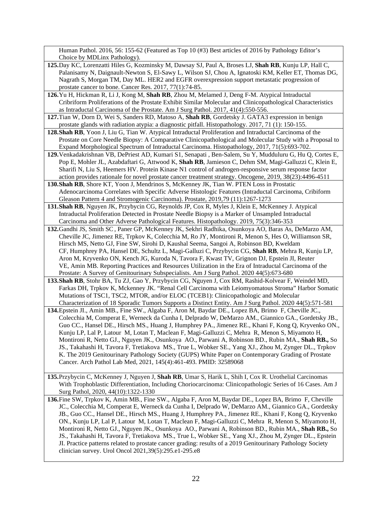Human Pathol. 2016, 56: 155-62 (Featured as Top 10 (#3) Best articles of 2016 by Pathology Editor's Choice by MDLinx Pathology).

- **125.**Day KC, Lorenzatti Hiles G, Kozminsky M, Dawsay SJ, Paul A, Broses LJ, **Shah RB**, Kunju LP, Hall C, Palanisamy N, Daignault-Newton S, El-Sawy L, Wilson SJ, Chou A, Ignatoski KM, Keller ET, Thomas DG, Nagrath S, Morgan TM, Day ML. HER2 and EGFR overexpression support metastatic progression of prostate cancer to bone. Cancer Res. 2017, 77(1):74-85.
- **126.**Yu H, Hickman R, Li J, Kong M, **Shah RB**, Zhou M, Melamed J, Deng F-M. Atypical Intraductal Cribriform Proliferations of the Prostate Exhibit Similar Molecular and Clinicopathological Characteristics as Intraductal Carcinoma of the Prostate. Am J Surg Pathol. 2017, 41(4):550-556.
- **127.**Tian W, Dorn D, Wei S, Sanders RD, Matoso A, **Shah RB**, Gordetsky J. GATA3 expression in benign prostate glands with radiation atypia: a diagnostic pitfall. Histopathology. 2017, 71 (1): 150-155.
- **128.Shah RB**, Yoon J, Liu G, Tian W. Atypical Intraductal Proliferation and Intraductal Carcinoma of the Prostate on Core Needle Biopsy: A Comparative Clinicopathological and Molecular Study with a Proposal to Expand Morphological Spectrum of Intraductal Carcinoma. Histopathology, 2017, 71(5):693-702.
- **129.**Venkadakrishnan VB, DePriest AD, Kumari S1, Senapati , Ben-Salem, Su Y, Mudduluru G, Hu Q, Cortes E, Pop E, Mohler JL, Azabdaftari G, Attwood K, **Shah RB**, Jamieson C, Dehm SM, Magi-Galluzzi C, Klein E, Sharifi N, Liu S, Heemers HV. Protein Kinase N1 control of androgen-responsive serum response factor action provides rationale for novel prostate cancer treatment strategy. Oncogene, 2019, 38(23):4496-4511
- **130.Shah RB**, Shore KT, Yoon J, Mendrinos S, McKenney JK, Tian W. PTEN Loss in Prostatic Adenocarcinoma Correlates with Specific Adverse Histologic Features (Intraductal Carcinoma, Cribiform Gleason Pattern 4 and Stromogenic Carcinoma). Prostate, 2019,79 (11):1267-1273
- **131.Shah RB**, Nguyen JK, Przybycin CG, Reynolds JP, Cox R, Myles J, Klein E, McKenney J. Atypical Intraductal Proliferation Detected in Prostate Needle Biopsy is a Marker of Unsampled Intraductal Carcinoma and Other Adverse Pathological Features. Histopathology. 2019, 75(3):346-353
- **132.**Gandhi JS, Smith SC, Paner GP, [McKenney](https://pubmed.ncbi.nlm.nih.gov/?term=McKenney+JK&cauthor_id=31876580) JK, Sekhri Radhika, Osunkoya AO, Baras As, DeMarzo AM, Cheville JC, Jimenez RE, Trpkov K, Colecchia M, Ro JY, Montironi R, Menon S, Hes O, Williamson SR, Hirsch MS, Netto GJ, Fine SW, Sirohi D, Kaushal Seema, Sangoi A, Robinson BD, Kweldam CF, Humphrey PA, Hansel DE, Schultz L, Magi-Galluzi C, Przybycin CG, **Shah RB**, Mehra R, Kunju LP, Aron M, Kryvenko ON, Kench JG, Kuroda N, Tavora F, Kwast TV, Grignon DJ, Epstein JI, Reuter VE, Amin MB. Reporting Practices and Resources Utilization in the Era of Intraductal Carcinoma of the Prostate: A Survey of Genitourinary Subspecialists. Am J Surg Pathol. 2020 44(5):673-680
- **133.Shah RB**, Stohr BA, Tu ZJ, Gao Y, Przybycin CG, Nguyen J, Cox RM, Rashid-Kolvear F, Weindel MD, Farkas DH, Trpkov K, Mckenney JK. "Renal Cell Carcinoma with Leiomyomatous Stroma" Harbor Somatic Mutations of TSC1, TSC2, MTOR, and/or ELOC (TCEB1): Clinicopathologic and Molecular Characterization of 18 Sporadic Tumors Supports a Distinct Entity. Am J Surg Pathol. 2020 44(5):571-581
- **134.**Epstein JI., Amin MB., Fine SW., Algaba F, Aron M, Baydar DE., Lopez BA, Brimo F, Cheville JC., Colecchia M, Comperat E, Werneck da Cunha I, Delprado W, DeMarzo AM., Giannico GA., Gordetsky JB., Guo CC., Hansel DE., Hirsch MS., Huang J, Humphrey PA., Jimenez RE., Khani F, Kong Q, Kryvenko ON., Kunju LP, Lal P, Latour M, Lotan T, Maclean F, Magi-Galluzzi C, Mehra R, Menon S, Miyamoto H, Montironi R, Netto GJ., Nguyen JK., Osunkoya AO., Parwani A, Robinson BD., Rubin MA., **Shah RB.,** So JS., Takahashi H, Tavora F, Tretiakova MS., True L, Wobker SE., Yang XJ., Zhou M, Zynger DL., Trpkov K. The 2019 Genitourinary Pathology Society (GUPS) White Paper on Contemporary Grading of Prostate Cancer. Arch Pathol Lab Med, 2021, 145(4):461-493. PMID: 32589068
- **135.**Przybycin C, McKenney J, Nguyen J, **Shah RB**, Umar S, Harik L, Shih I, Cox R. Urothelial Carcinomas With Trophoblastic Differentiation, Including Choriocarcinoma: Clinicopathologic Series of 16 Cases. Am J Surg Pathol, 2020, 44(10):1322-1330
- **136.**Fine SW, Trpkov K, Amin MB., Fine SW., Algaba F, Aron M, Baydar DE., Lopez BA, Brimo F, Cheville JC., Colecchia M, Comperat E, Werneck da Cunha I, Delprado W, DeMarzo AM., Giannico GA., Gordetsky JB., Guo CC., Hansel DE., Hirsch MS., Huang J, Humphrey PA., Jimenez RE., Khani F, Kong Q, Kryvenko ON., Kunju LP, Lal P, Latour M, Lotan T, Maclean F, Magi-Galluzzi C, Mehra R, Menon S, Miyamoto H, Montironi R, Netto GJ., Nguyen JK., Osunkoya AO., Parwani A, Robinson BD., Rubin MA., **Shah RB.,** So JS., Takahashi H, Tavora F, Tretiakova MS., True L, Wobker SE., Yang XJ., Zhou M, Zynger DL., Epstein JI. Practice patterns related to prostate cancer grading: results of a 2019 Genitourinary Pathology Society clinician survey. Urol Oncol 2021,39(5):295.e1-295.e8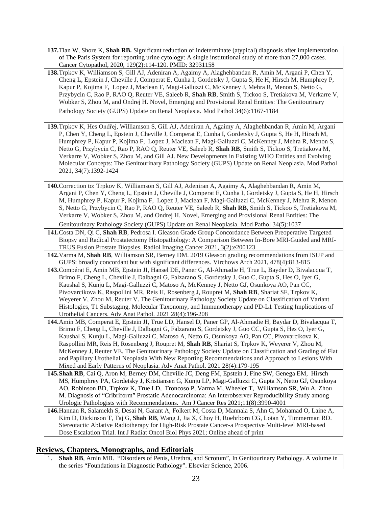- **137.**Tian W, Shore K, **Shah RB.** Significant reduction of indeterminate (atypical) diagnosis after implementation of The Paris System for reporting urine cytology: A single institutional study of more than 27,000 cases. Cancer Cytopathol, 2020, 129(2):114-120. PMID: 32931158
- **138.**Trpkov K, Williamson S, Gill AJ, Adeniran A, Agaimy A, Alaghehbandan R, Amin M, Argani P, Chen Y, Cheng L, Epstein J, Cheville J, Comperat E, Cunha I, Gordetsky J, Gupta S, He H, Hirsch M, Humphrey P, Kapur P, Kojima F, Lopez J, Maclean F, Magi-Galluzzi C, McKenney J, Mehra R, Menon S, Netto G, Przybycin C, Rao P, RAO Q, Reuter VE, Saleeb R, **Shah RB**, Smith S, Tickoo S, Tretiakova M, Verkarre V, Wobker S, Zhou M, and Ondrej H. Novel, Emerging and Provisional Renal Entities: The Genitourinary Pathology Society (GUPS) Update on Renal Neoplasia. Mod Pathol 34(6):1167-1184
- **139.**Trpkov K, Hes Ondřej, Williamson S, Gill AJ, Adeniran A, Agaimy A, Alaghehbandan R, Amin M, Argani P, Chen Y, Cheng L, Epstein J, Cheville J, Comperat E, Cunha I, Gordetsky J, Gupta S, He H, Hirsch M, Humphrey P, Kapur P, Kojima F, Lopez J, Maclean F, Magi-Galluzzi C, McKenney J, Mehra R, Menon S, Netto G, Przybycin C, Rao P, RAO Q, Reuter VE, Saleeb R, **Shah RB**, Smith S, Tickoo S, Tretiakova M, Verkarre V, Wobker S, Zhou M, and Gill AJ. New Developments in Existing WHO Entities and Evolving Molecular Concepts: The Genitourinary Pathology Society (GUPS) Update on Renal Neoplasia. Mod Pathol 2021, 34(7):1392-1424
- **140.**Correction to: Trpkov K, Williamson S, Gill AJ, Adeniran A, Agaimy A, Alaghehbandan R, Amin M, Argani P, Chen Y, Cheng L, Epstein J, Cheville J, Comperat E, Cunha I, Gordetsky J, Gupta S, He H, Hirsch M, Humphrey P, Kapur P, Kojima F, Lopez J, Maclean F, Magi-Galluzzi C, McKenney J, Mehra R, Menon S, Netto G, Przybycin C, Rao P, RAO Q, Reuter VE, Saleeb R, **Shah RB**, Smith S, Tickoo S, Tretiakova M, Verkarre V, Wobker S, Zhou M, and Ondrej H. Novel, Emerging and Provisional Renal Entities: The

Genitourinary Pathology Society (GUPS) Update on Renal Neoplasia. Mod Pathol 34(5):1037

**141.**Costa DN, Qi C, **Shah RB**, Pedrosa I. Gleason Grade Group Concordance Between Preoperative Targeted Biopsy and Radical Prostatectomy Histopathology: A Comparison Between In-Bore MRI-Guided and MRI-TRUS Fusion Prostate Biopsies. Radiol Imaging Cancer 2021, 3(2):e200123

**142.**Varma M, **Shah RB**, Williamson SR, Berney DM. 2019 Gleason grading recommendations from ISUP and GUPS: broadly concordant but with significant differences. Virchows Arch 2021, 478(4):813-815

- **143.**Compérat E, Amin MB, Epstein JI, Hansel DE, Paner G, Al-Ahmadie H, True L, Bayder D, Bivalacqua T, Brimo F, Cheng L, Cheville J, Dalbagni G, Falzarano S, Gordetsky J, Guo C, Gupta S, Hes O, Iyer G, Kaushal S, Kunju L, Magi-Galluzzi C, Matoso A, McKenney J, Netto GJ, Osunkoya AO, Pan CC, Pivovarcikova K, Raspollini MR, Reis H, Rosenberg J, Roupret M, **Shah RB**, Shariat SF, Trpkov K, Weyerer V, Zhou M, Reuter V. The Genitourinary Pathology Society Update on Classification of Variant Histologies, T1 Substaging, Molecular Taxonomy, and Immunotherapy and PD-L1 Testing Implications of Urothelial Cancers. Adv Anat Pathol. 2021 28(4):196-208
- **144.**Amin MB, Comperat E, Epstein JI, True LD, Hansel D, Paner GP, Al-Ahmadie H, Baydar D, Bivalacqua T, Brimo F, Cheng L, Cheville J, Dalbagni G, Falzarano S, Gordetsky J, Guo CC, Gupta S, Hes O, Iyer G, Kaushal S, Kunju L, Magi-Galluzzi C, Matoso A, Netto G, Osunkoya AO, Pan CC, Pivovarcikova K, Raspollini MR, Reis H, Rosenberg J, Roupret M, **Shah RB**, Shariat S, Trpkov K, Weyerer V, Zhou M, McKenney J, Reuter VE. The Genitourinary Pathology Society Update on Classification and Grading of Flat and Papillary Urothelial Neoplasia With New Reporting Recommendations and Approach to Lesions With Mixed and Early Patterns of Neoplasia. Adv Anat Pathol. 2021 28(4):179-195
- **145.Shah RB**, Cai Q, Aron M, Berney DM, Cheville JC, Deng FM, Epstein J, Fine SW, Genega EM, Hirsch MS, Humphrey PA, Gordetsky J, Kristiansen G, Kunju LP, Magi-Galluzzi C, Gupta N, Netto GJ, Osunkoya AO, Robinson BD, Trpkov K, True LD, Troncoso P, Varma M, Wheeler T, Williamson SR, Wu A, Zhou M. Diagnosis of "Cribriform" Prostatic Adenocarcinoma: An Interobserver Reproducibility Study among Urologic Pathologists with Recommendations.Am J Cancer Res 2021;11(8):3990-4001
- **146.**Hannan R, Salamekh S, Desai N, Garant A, Folkert M, Costa D, Mannala S, Ahn C, Mohamad O, Laine A, Kim D, Dickinson T, Taj G, **Shah RB**, Wang J, Jia X, Choy H, Roehrborn CG, Lotan Y, Timmerman RD. Stereotactic Ablative Radiotherapy for High-Risk Prostate Cancer-a Prospective Multi-level MRI-based Dose Escalation Trial. Int J Radiat Oncol Biol Phys 2021; Online ahead of print

## **Reviews, Chapters, Monographs, and Editorials**

1. **Shah RB**, Amin MB. "Disorders of Penis, Urethra, and Scrotum", In Genitourinary Pathology. A volume in the series "Foundations in Diagnostic Pathology". Elsevier Science, 2006.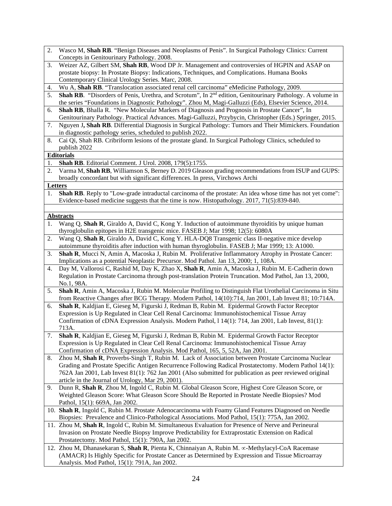- 2. Wasco M, **Shah RB**. "Benign Diseases and Neoplasms of Penis". In Surgical Pathology Clinics: Current Concepts in Genitourinary Pathology. 2008.
- 3. Weizer AZ, Gilbert SM, **Shah RB**, Wood DP Jr. Management and controversies of HGPIN and ASAP on prostate biopsy: In Prostate Biopsy: Indications, Techniques, and Complications. Humana Books Contemporary Clinical Urology Series. Marc, 2008.
- 4. Wu A, **Shah RB**. "Translocation associated renal cell carcinoma" eMedicine Pathology, 2009.
- 5. **Shah RB**. "Disorders of Penis, Urethra, and Scrotum", In 2nd edition, Genitourinary Pathology. A volume in the series "Foundations in Diagnostic Pathology". Zhou M, Magi-Galluzzi (Eds), Elsevier Science, 2014.
- 6. **Shah RB**, Bhalla R. "New Molecular Markers of Diagnosis and Prognosis in Prostate Cancer", In Genitourinary Pathology. Practical Advances. Magi-Galluzzi, Przybycin, Christopher (Eds.) Springer, 2015.
- 7. Nguyen J**, Shah RB**. Differential Diagnosis in Surgical Pathology: Tumors and Their Mimickers. Foundation in diagnostic pathology series, scheduled to publish 2022.
- 8. Cai Qi, Shah RB. Cribriform lesions of the prostate gland. In Surgical Pathology Clinics, scheduled to publish 2022

#### **Editorials**

- 1. **Shah RB**. Editorial Comment. J Urol. 2008, 179(5):1755.
- 2. Varma M, **Shah RB**, Williamson S, Berney D. 2019 Gleason grading recommendations from ISUP and GUPS: broadly concordant but with significant differences. In press, Virchows Archi

#### **Letters**

1. **Shah RB**. Reply to "Low-grade intraductal carcinoma of the prostate: An idea whose time has not yet come": Evidence-based medicine suggests that the time is now. Histopathology. 2017, 71(5):839-840.

#### **Abstracts**

- 1. Wang Q, **Shah R**, Giraldo A, David C, Kong Y. Induction of autoimmune thyroiditis by unique human thyroglobulin epitopes in H2E transgenic mice. FASEB J; Mar 1998; 12(5): 6080A
- 2. Wang Q, **Shah R**, Giraldo A, David C, Kong Y. HLA-DQ8 Transgenic class II-negative mice develop autoimmune thyroiditis after induction with human thyroglobulin. FASEB J; Mar 1999; 13: A1000.
- 3. **Shah R**, Mucci N, Amin A, Macoska J, Rubin M. Proliferative Inflammatory Atrophy in Prostate Cancer: Implications as a potential Neoplastic Precursor. Mod Pathol. Jan 13, 2000; 1, 108A.
- 4. Day M, Vallorosi C, Rashid M, Day K, Zhao X, **Shah R**, Amin A, Macoska J, Rubin M. E-Cadherin down Regulation in Prostate Carcinoma through post-translation Protein Truncation. Mod Pathol, Jan 13, 2000, No.1, 98A.
- 5. **Shah R**, Amin A, Macoska J, Rubin M. Molecular Profiling to Distinguish Flat Urothelial Carcinoma in Situ from Reactive Changes after BCG Therapy. Modern Pathol, 14(10):714, Jan 2001, Lab Invest 81; 10:714A.
- 6. **Shah R**, Kaldjian E, Gieseg M, Figurski J, Redman B, Rubin M. Epidermal Growth Factor Receptor Expression is Up Regulated in Clear Cell Renal Carcinoma: Immunohistochemical Tissue Array Confirmation of cDNA Expression Analysis. Modern Pathol, l 14(1): 714, Jan 2001, Lab Invest, 81(1): 713A.
- 7. **Shah R**, Kaldjian E, Gieseg M, Figurski J, Redman B, Rubin M. Epidermal Growth Factor Receptor Expression is Up Regulated in Clear Cell Renal Carcinoma: Immunohistochemical Tissue Array Confirmation of cDNA Expression Analysis. Mod Pathol, 165, 5, 52A, Jan 2001.
- 8. Zhou M, **Shah R**, Proverbs-Singh T, Rubin M. Lack of Association between Prostate Carcinoma Nuclear Grading and Prostate Specific Antigen Recurrence Following Radical Prostatectomy. Modern Pathol 14(1): 762A Jan 2001, Lab Invest 81(1): 762 Jan 2001 (Also submitted for publication as peer reviewed original article in the Journal of Urology, Mar 29, 2001).
- 9. Dunn R, **Shah R**, Zhou M, Ingold C, Rubin M. Global Gleason Score, Highest Core Gleason Score, or Weighted Gleason Score: What Gleason Score Should Be Reported in Prostate Needle Biopsies? Mod Pathol, 15(1): 669A, Jan 2002.
- 10. **Shah R**, Ingold C, Rubin M. Prostate Adenocarcinoma with Foamy Gland Features Diagnosed on Needle Biopsies: Prevalence and Clinico-Pathological Associations. Mod Pathol, 15(1): 775A, Jan 2002.
- 11. Zhou M, **Shah R**, Ingold C, Rubin M. Simultaneous Evaluation for Presence of Nerve and Perineural Invasion on Prostate Needle Biopsy Improve Predictability for Extraprostatic Extension on Radical Prostatectomy. Mod Pathol, 15(1): 790A, Jan 2002.
- 12. Zhou M, Dhanasekaran S, **Shah R**, Pienta K, Chinnaiyan A, Rubin M. ∝-Methylacyl-CoA Racemase (AMACR) Is Highly Specific for Prostate Cancer as Determined by Expression and Tissue Microarray Analysis. Mod Pathol, 15(1): 791A, Jan 2002.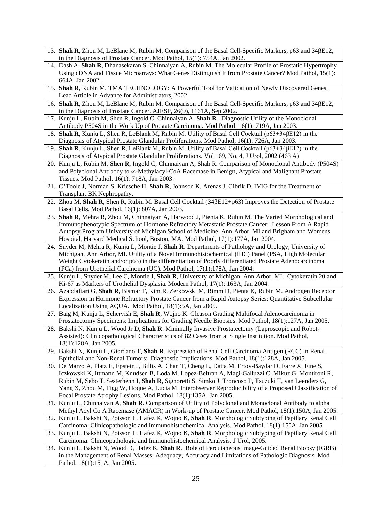- 13. **Shah R**, Zhou M, LeBlanc M, Rubin M. Comparison of the Basal Cell-Specific Markers, p63 and 34βE12, in the Diagnosis of Prostate Cancer. Mod Pathol, 15(1): 754A, Jan 2002.
- 14. Dash A, **Shah R**, Dhanasekaran S, Chinnaiyan A, Rubin M. The Molecular Profile of Prostatic Hypertrophy Using cDNA and Tissue Microarrays: What Genes Distinguish It from Prostate Cancer? Mod Pathol, 15(1): 664A, Jan 2002.
- 15. **Shah R**, Rubin M. TMA TECHNOLOGY: A Powerful Tool for Validation of Newly Discovered Genes. Lead Article in Advance for Administrators, 2002.
- 16. **Shah R**, Zhou M, LeBlanc M, Rubin M. Comparison of the Basal Cell-Specific Markers, p63 and 34βE12, in the Diagnosis of Prostate Cancer. AJESP, 26(9), 1161A, Sep 2002.
- 17. Kunju L, Rubin M, Shen R, Ingold C, Chinnaiyan A, **Shah R**. Diagnostic Utility of the Monoclonal Antibody P504S in the Work Up of Prostate Carcinoma. Mod Pathol, 16(1): 719A, Jan 2003.
- 18. **Shah R**, Kunju L, Shen R, LeBlank M, Rubin M. Utility of Basal Cell Cocktail (p63+34βE12) in the Diagnosis of Atypical Prostate Glandular Proliferations. Mod Pathol, 16(1): 726A, Jan 2003.
- 19. **Shah R**, Kunju L, Shen R, LeBlank M, Rubin M. Utility of Basal Cell Cocktail (p63+34βE12) in the Diagnosis of Atypical Prostate Glandular Proliferations. Vol 169, No. 4, J Urol, 2002 (463 A)
- 20. Kunju L, Rubin M, **Shen R**, Ingold C, Chinnaiyan A, Shah R. Comparison of Monoclonal Antibody (P504S) and Polyclonal Antibody to ∝-Methylacyl-CoA Racemase in Benign, Atypical and Malignant Prostate Tissues. Mod Pathol, 16(1): 718A, Jan 2003.
- 21. O'Toole J, Norman S, Kriesche H, **Shah R**, Johnson K, Arenas J, Cibrik D. IVIG for the Treatment of Transplant BK Nephropathy.
- 22. Zhou M, **Shah R**, Shen R, Rubin M. Basal Cell Cocktail (34βE12+p63) Improves the Detection of Prostate Basal Cells. Mod Pathol, 16(1): 807A, Jan 2003.
- 23. **Shah R**, Mehra R, Zhou M, Chinnaiyan A, Harwood J, Pienta K, Rubin M. The Varied Morphological and Immunophenotypic Spectrum of Hormone Refractory Metastatic Prostate Cancer: Lesson From A Rapid Autopsy Program University of Michigan School of Medicine, Ann Arbor, MI and Brigham and Womens Hospital, Harvard Medical School, Boston, MA. Mod Pathol, 17(1):177A, Jan 2004.
- 24. Snyder M, Mehra R, Kunju L, Montie J, **Shah R**. Departments of Pathology and Urology, University of Michigan, Ann Arbor, MI. Utility of a Novel Immunohistochemical (IHC) Panel (PSA, High Molecular Weight Cytokeratin and/or p63) in the differentiation of Poorly differentiated Prostate Adenocarcinoma (PCa) from Urothelial Carcinoma (UC). Mod Pathol, 17(1):178A, Jan 2004.
- 25. Kunju L, Snyder M, Lee C, Montie J, **Shah R**, University of Michigan, Ann Arbor, MI. Cytokeratin 20 and Ki-67 as Markers of Urothelial Dysplasia. Modern Pathol, 17(1): 163A, Jan 2004.
- 26. Azabdaftari G, **Shah R**, Bismar T, Kim R, Zerkowski M, Rimm D, Pienta K, Rubin M. Androgen Receptor Expression in Hormone Refractory Prostate Cancer from a Rapid Autopsy Series: Quantitative Subcellular Localization Using AQUA. Mod Pathol, 18(1):5A, Jan 2005.
- 27. Baig M, Kunju L, Schervish E, **Shah R**, Wojno K. Gleason Grading Multifocal Adenocarcinoma in Prostatectomy Specimens: Implications for Grading Needle Biopsies. Mod Pathol, 18(1):127A, Jan 2005.
- 28. Bakshi N, Kunju L, Wood Jr D, **Shah R**. Minimally Invasive Prostatectomy (Laproscopic and Robot-Assisted): Clinicopathological Characteristics of 82 Cases from a Single Institution. Mod Pathol, 18(1):128A, Jan 2005.
- 29. Bakshi N, Kunju L, Giordano T, **Shah R**. Expression of Renal Cell Carcinoma Antigen (RCC) in Renal Epithelial and Non-Renal Tumors: Diagnostic Implications. Mod Pathol, 18(1):128A, Jan 2005.
- 30. De Marzo A, Platz E, Epstein J, Billis A, Chan T, Cheng L, Datta M, Ertoy-Baydar D, Farre X, Fine S, Iczkowski K, Ittmann M, Knudsen B, Loda M, Lopez-Beltran A, Magi-Galluzzi C, Mikuz G, Montironi R, Rubin M, Sebo T, Sesterhenn I, **Shah R**, Signoretti S, Simko J, Troncoso P, Tsuzuki T, van Leenders G, Yang X, Zhou M, Figg W, Hoque A, Lucia M. Interobserver Reproducibility of a Proposed Classification of Focal Prostate Atrophy Lesions. Mod Pathol, 18(1):135A, Jan 2005.
- 31. Kunju L, Chinnaiyan A, **Shah R**. Comparison of Utility of Polyclonal and Monoclonal Antibody to alpha Methyl Acyl Co A Racemase (AMACR) in Work-up of Prostate Cancer. Mod Pathol, 18(1):150A, Jan 2005.
- 32. Kunju L, Bakshi N, Poisson L, Hafez K, Wojno K, **Shah R**. Morphologic Subtyping of Papillary Renal Cell Carcinoma: Clinicopathologic and Immunohistochemical Analysis. Mod Pathol, 18(1):150A, Jan 2005.
- 33. Kunju L, Bakshi N, Poisson L, Hafez K, Wojno K, **Shah R**. Morphologic Subtyping of Papillary Renal Cell Carcinoma: Clinicopathologic and Immunohistochemical Analysis. J Urol, 2005.
- 34. Kunju L, Bakshi N, Wood D, Hafez K, **Shah R**. Role of Percutaneous Image-Guided Renal Biopsy (IGRB) in the Management of Renal Masses: Adequacy, Accuracy and Limitations of Pathologic Diagnosis. Mod Pathol, 18(1):151A, Jan 2005.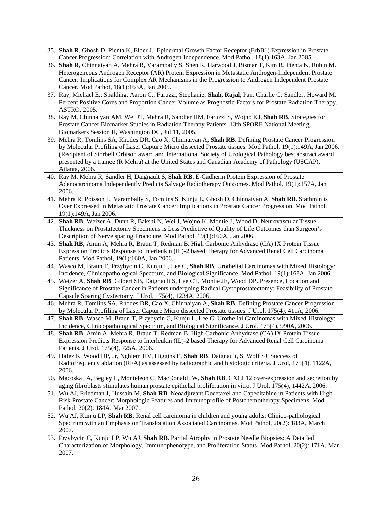- 35. **Shah R**, Ghosh D, Pienta K, Elder J. Epidermal Growth Factor Receptor (ErbB1) Expression in Prostate Cancer Progression: Correlation with Androgen Independence. Mod Pathol, 18(1):163A, Jan 2005.
- 36. **Shah R**, Chinnaiyan A, Mehra R, Varambally S, Shen R, Harwood J, Bismar T, Kim R, Pienta K, Rubin M. Heterogeneous Androgen Receptor (AR) Protein Expression in Metastatic Androgen-Independent Prostate Cancer: Implications for Complex AR Mechanisms in the Progression to Androgen Independent Prostate Cancer. Mod Pathol, 18(1):163A, Jan 2005.
- 37. Ray, Michael E.; Spalding, Aaron C.; Faruzzi, Stephanie; **Shah, Rajal**; Pan, Charlie C; Sandler, Howard M. Percent Positive Cores and Proportion Cancer Volume as Prognostic Factors for Prostate Radiation Therapy. ASTRO, 2005.
- 38. Ray M, Chinnaiyan AM, Wei JT, Mehra R, Sandler HM, Faruzzi S, Wojno KJ, **Shah RB**. Strategies for Prostate Cancer Biomarker Studies in Radiation Therapy Patients. 13th SPORE National Meeting, Biomarkers Session II, Washington DC, Jul 11, 2005.
- 39. Mehra R, Tomlins SA, Rhodes DR, Cao X, Chinnaiyan A, **Shah RB**. Defining Prostate Cancer Progression by Molecular Profiling of Laser Capture Micro dissected Prostate tissues. Mod Pathol, 19(1):149A, Jan 2006. (Recipient of Storbell Orbison award and International Society of Urological Pathology best abstract award presented by a trainee (R Mehra) at the United States and Canadian Academy of Pathology (USCAP), Atlanta, 2006.
- 40. Ray M, Mehra R, Sandler H, Daignault S, **Shah RB**. E-Cadherin Protein Expression of Prostate Adenocarcinoma Independently Predicts Salvage Radiotherapy Outcomes. Mod Pathol, 19(1):157A, Jan 2006.
- 41. Mehra R, Poisson L, Varambally S, Tomlins S, Kunju L, Ghosh D, Chinnaiyan A, **Shah RB**. Stathmin is Over Expressed in Metastatic Prostate Cancer: Implications in Prostate Cancer Progression. Mod Pathol, 19(1):149A, Jan 2006.
- 42. **Shah RB**, Weizer A, Dunn R, Bakshi N, Wei J, Wojno K, Montie J, Wood D. Neurovascular Tissue Thickness on Prostatectomy Specimens is Less Predictive of Quality of Life Outcomes than Surgeon's Description of Nerve sparing Procedure. Mod Pathol, 19(1):160A, Jan 2006.
- 43. **Shah RB**, Amin A, Mehra R, Braun T, Redman B. High Carbonic Anhydrase (CA) IX Protein Tissue Expression Predicts Response to Interleukin (IL)-2 based Therapy for Advanced Renal Cell Carcinoma Patients. Mod Pathol, 19(1):160A, Jan 2006.
- 44. Wasco M, Braun T, Przybycin C, Kunju L, Lee C, **Shah RB**. Urothelial Carcinomas with Mixed Histology: Incidence, Clinicopathological Spectrum, and Biological Significance. Mod Pathol, 19(1):168A, Jan 2006.
- 45. Weizer A, **Shah RB**, Gilbert SB, Daignault S, Lee CT, Montie JE, Wood DP. Presence, Location and Significance of Prostate Cancer in Patients undergoing Radical Cystoprostatectomy: Feasibility of Prostate Capsule Sparing Cystectomy. J Urol, 175(4), 1234A, 2006.
- 46. Mehra R, Tomlins SA, Rhodes DR, Cao X, Chinnaiyan A, **Shah RB**. Defining Prostate Cancer Progression by Molecular Profiling of Laser Capture Micro dissected Prostate tissues. J Urol, 175(4), 411A, 2006.
- 47. **Shah RB**, Wasco M, Braun T, Przybycin C, Kunju L, Lee C. Urothelial Carcinomas with Mixed Histology: Incidence, Clinicopathological Spectrum, and Biological Significance. J Urol, 175(4), 990A, 2006.
- 48. **Shah RB**, Amin A, Mehra R, Braun T, Redman B. High Carbonic Anhydrase (CA) IX Protein Tissue Expression Predicts Response to Interleukin (IL)-2 based Therapy for Advanced Renal Cell Carcinoma Patients. J Urol, 175(4), 725A, 2006.
- 49. Hafez K, Wood DP, Jr, Nghiem HV, Higgins E, **Shah RB**, Daignault, S, Wolf SJ. Success of Radiofrequency ablation (RFA) as assessed by radiographic and histologic criteria. J Urol, 175(4), 1122A, 2006.
- 50. Macoska JA, Begley L, Monteleon C, MacDonald JW, **Shah RB**. CXCL12 over-expression and secretion by aging fibroblasts stimulates human prostate epithelial proliferation in vitro. J Urol, 175(4), 1442A, 2006.
- 51. Wu AJ, Friedman J, Hussain M, **Shah RB**. Neoadjuvant Docetaxel and Capecitabine in Patients with High Risk Prostate Cancer: Morphologic Features and Immunoprofile of Postchemotherapy Specimens. Mod Pathol, 20(2): 184A, Mar 2007.
- 52. Wu AJ, Kunju LP, **Shah RB**. Renal cell carcinoma in children and young adults: Clinico-pathological Spectrum with an Emphasis on Translocation Associated Carcinomas. Mod Pathol, 20(2): 183A, March 2007.
- 53. Przybycin C, Kunju LP, Wu AJ, **Shah RB**. Partial Atrophy in Prostate Needle Biopsies: A Detailed Characterization of Morphology, Immunophenotype, and Proliferation Status. Mod Pathol, 20(2): 171A, Mar 2007.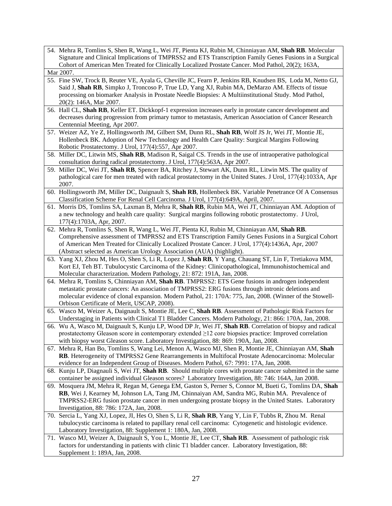- 54. Mehra R, Tomlins S, Shen R, Wang L, Wei JT, Pienta KJ, Rubin M, Chinniayan AM, **Shah RB**. Molecular Signature and Clinical Implications of TMPRSS2 and ETS Transcription Family Genes Fusions in a Surgical Cohort of American Men Treated for Clinically Localized Prostate Cancer. Mod Pathol, 20(2); 163A, Mar 2007.
- 55. Fine SW, Trock B, Reuter VE, Ayala G, Cheville JC, Fearn P, Jenkins RB, Knudsen BS, Loda M, Netto GJ, Said J, **Shah RB**, Simpko J, Troncoso P, True LD, Yang XJ, Rubin MA, DeMarzo AM. Effects of tissue processing on biomarker Analysis in Prostate Needle Biopsies: A Multiinstitutional Study. Mod Pathol, 20(2): 146A, Mar 2007.
- 56. Hall CL, **Shah RB**, Keller ET. Dickkopf-1 expression increases early in prostate cancer development and decreases during progression from primary tumor to metastasis, American Association of Cancer Research Centennial Meeting, Apr 2007.
- 57. Weizer AZ, Ye Z, Hollingsworth JM, Gilbert SM, Dunn RL, **Shah RB**, Wolf JS Jr, Wei JT, Montie JE, Hollenbeck BK. Adoption of New Technology and Health Care Quality: Surgical Margins Following Robotic Prostatectomy. J Urol, 177(4):557, Apr 2007.
- 58. Miller DC, Litwin MS, **Shah RB**, Madison R, Saigal CS. Trends in the use of intraoperative pathological consultation during radical prostatectomy. J Urol, 177(4):563A, Apr 2007.
- 59. Miller DC, Wei JT, **Shah RB**, Spencer BA, Ritchey J, Stewart AK, Dunn RL, Litwin MS. The quality of pathological care for men treated with radical prostatectomy in the United States. J Urol, 177(4):1033A, Apr 2007.
- 60. Hollingsworth JM, Miller DC, Daignault S, **Shah RB**, Hollenbeck BK. Variable Penetrance Of A Consensus Classification Scheme For Renal Cell Carcinoma. J Urol, 177(4):649A, April, 2007.
- 61. Morris DS, Tomlins SA, Laxman B, Mehra R, **Shah RB**, Rubin MA, Wei JT, Chinniayan AM. Adoption of a new technology and health care quality: Surgical margins following robotic prostatectomy. J Urol, 177(4):1703A, Apr, 2007.
- 62. Mehra R, Tomlins S, Shen R, Wang L, Wei JT, Pienta KJ, Rubin M, Chinniayan AM, **Shah RB**. Comprehensive assessment of TMPRSS2 and ETS Transcription Family Genes Fusions in a Surgical Cohort of American Men Treated for Clinically Localized Prostate Cancer. J Urol, 177(4):1436A, Apr, 2007 (Abstract selected as American Urology Association (AUA) (highlight).
- 63. Yang XJ, Zhou M, Hes O, Shen S, Li R, Lopez J, **Shah RB**, Y Yang, Chauang ST, Lin F, Tretiakova MM, Kort EJ, Teh BT. Tubulocystic Carcinoma of the Kidney: Clinicopathological, Immunohistochemical and Molecular characterization. Modern Pathology, 21: 872: 191A, Jan, 2008.
- 64. Mehra R, Tomlins S, Chinniayan AM, **Shah RB**. TMPRSS2: ETS Gene fusions in androgen independent metastatic prostate cancers: An association of TMPRSS2: ERG fusions through intronic deletions and molecular evidence of clonal expansion. Modern Pathol, 21: 170A: 775, Jan, 2008. (Winner of the Stowell-Orbison Certificate of Merit, USCAP, 2008).
- 65. Wasco M, Weizer A, Daignault S, Montie JE, Lee C, **Shah RB**. Assessment of Pathologic Risk Factors for Understaging in Patients with Clinical T1 Bladder Cancers. Modern Pathology, 21: 866: 170A, Jan, 2008.
- 66. Wu A, Wasco M, Daignault S, Kunju LP, Wood DP Jr, Wei JT, **Shah RB**. Correlation of biopsy and radical prostatectomy Gleason score in contemporary extended ≥12 core biopsies practice: Improved correlation with biopsy worst Gleason score. Laboratory Investigation, 88: 869: 190A, Jan, 2008.
- 67. Mehra R, Han Bo, Tomlins S, Wang Lei, Menon A, Wasco MJ, Shen R, Montie JE, Chinniayan AM, **Shah RB**. Heterogeneity of TMPRSS2 Gene Rearrangements in Multifocal Prostate Adenocarcinoma: Molecular evidence for an Independent Group of Diseases. Modern Pathol, 67: 7991: 17A, Jan, 2008.
- 68. Kunju LP, Diagnauli S, Wei JT, **Shah RB**. Should multiple cores with prostate cancer submitted in the same container be assigned individual Gleason scores? Laboratory Investigation, 88: 746: 164A, Jan 2008.
- 69. Mosquera JM, Mehra R, Regan M, Genega EM, Gaston S, Perner S, Connor M, Bueti G, Tomlins DA, **Shah RB**, Wei J, Kearney M, Johnson LA, Tang JM, Chinnaiyan AM, Sandra MG, Rubin MA. Prevalence of TMPRSS2-ERG fusion prostate cancer in men undergoing prostate biopsy in the United States. Laboratory Investigation, 88: 786: 172A, Jan, 2008.
- 70. Sercia L, Yang XJ, Lopez, JI, Hes O, Shen S, Li R, **Shah RB**, Yang Y, Lin F, Tubbs R, Zhou M. Renal tubulocystic carcinoma is related to papillary renal cell carcinoma: Cytogenetic and histologic evidence. Laboratory Investigation, 88: Supplement 1: 180A, Jan, 2008.
- 71. Wasco MJ, Weizer A, Daignault S, You L, Montie JE, Lee CT, **Shah RB**. Assessment of pathologic risk factors for understanding in patients with clinic T1 bladder cancer. Laboratory Investigation, 88: Supplement 1: 189A, Jan, 2008.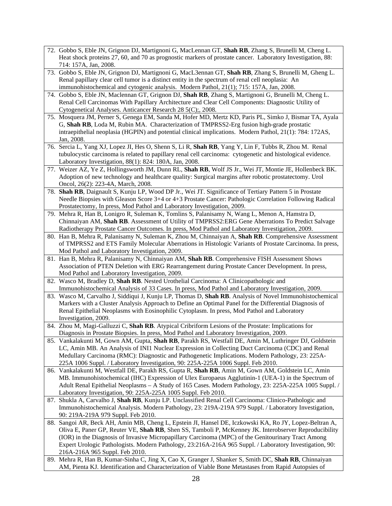- 72. Gobbo S, Eble JN, Grignon DJ, Martignoni G, MacLennan GT, **Shah RB**, Zhang S, Brunelli M, Cheng L. Heat shock proteins 27, 60, and 70 as prognostic markers of prostate cancer. Laboratory Investigation, 88: 714: 157A, Jan, 2008.
- 73. Gobbo S, Eble JN, Grignon DJ, Martignoni G, MacL3ennan GT, **Shah RB**, Zhang S, Brunelli M, Gheng L. Renal papillary clear cell tumor is a distinct entity in the spectrum of renal cell neoplasia: An immunohistochemical and cytogenic analysis. Modern Pathol, 21(1); 715: 157A, Jan, 2008.
- 74. Gobbo S, Eble JN, Maclennan GT, Grignon DJ, **Shah RB**, Zhang S, Martignoni G, Brunelli M, Cheng L. Renal Cell Carcinomas With Papillary Architecture and Clear Cell Components: Diagnostic Utility of Cytogenetical Analyses. Anticancer Research 28 5(C);, 2008.
- 75. Mosquera JM, Perner S, Genega EM, Sanda M, Hofer MD, Mertz KD, Paris PL, Simko J, Bismar TA, Ayala G, **Shah RB**, Loda M, Rubin MA. Characterization of TMPRSS2-Erg fusion high-grade prostatic intraepithelial neoplasia (HGPIN) and potential clinical implications. Modern Pathol, 21(1): 784: 172AS, Jan, 2008.
- 76. Sercia L, Yang XJ, Lopez JI, Hes O, Shenn S, Li R, **Shah RB**, Yang Y, Lin F, Tubbs R, Zhou M. Renal tubulocystic carcinoma is related to papillary renal cell carcinoma: cytogenetic and histological evidence. Laboratory Investigation, 88(1): 824: 180A, Jan, 2008.
- 77. Weizer AZ, Ye Z, Hollingsworth JM, Dunn RL, **Shah RB**, Wolf JS Jr., Wei JT, Montie JE, Hollenbeck BK. Adoption of new technology and healthcare quality: Surgical margins after robotic prostatectomy. Urol Oncol, 26(2): 223-4A, March, 2008.
- 78. **Shah RB**, Daignault S, Kunju LP, Wood DP Jr., Wei JT. Significance of Tertiary Pattern 5 in Prostate Needle Biopsies with Gleason Score 3+4 or 4+3 Prostate Cancer: Pathologic Correlation Following Radical Prostatectomy, In press, Mod Pathol and Laboratory Investigation, 2009.
- 79. Mehra R, Han B, Lonigro R, Suleman K, Tomlins S, Palanisamy N, Wang L, Menon A, Hamstra D, Chinnaiyan AM, **Shah RB**. Assessment of Utility of TMPRSS2:ERG Gene Aberrations To Predict Salvage Radiotherapy Prostate Cancer Outcomes. In press, Mod Pathol and Laboratory Investigation, 2009.
- 80. Han B, Mehra R, Palanisamy N, Suleman K, Zhou M, Chinnaiyan A, **Shah RB**. Comprehensive Assessment of TMPRSS2 and ETS Family Molecular Aberrations in Histologic Variants of Prostate Carcinoma. In press, Mod Pathol and Laboratory Investigation, 2009.
- 81. Han B, Mehra R, Palanisamy N, Chinnaiyan AM, **Shah RB**. Comprehensive FISH Assessment Shows Association of PTEN Deletion with ERG Rearrangement during Prostate Cancer Development. In press, Mod Pathol and Laboratory Investigation, 2009.
- 82. Wasco M, Bradley D, **Shah RB**. Nested Urothelial Carcinoma: A Clinicopathologic and Immunohistochemical Analysis of 33 Cases. In press, Mod Pathol and Laboratory Investigation, 2009.
- 83. Wasco M, Carvalho J, Siddiqui J, Kunju LP, Thomas D, **Shah RB**. Analysis of Novel Immunohistochemical Markers with a Cluster Analysis Approach to Define an Optimal Panel for the Differential Diagnosis of Renal Epithelial Neoplasms with Eosinophilic Cytoplasm. In press, Mod Pathol and Laboratory Investigation, 2009.
- 84. Zhou M, Magi-Galluzzi C, **Shah RB**. Atypical Cribriform Lesions of the Prostate: Implications for Diagnosis in Prostate Biopsies. In press, Mod Pathol and Laboratory Investigation, 2009.
- 85. Vankalakunti M, Gown AM, Gupta, **Shah RB**, Parakh RS, Westfall DE, Amin M, Luthringer DJ, Goldstein LC, Amin MB. An Analysis of INI1 Nuclear Expression in Collecting Duct Carcinoma (CDC) and Renal Medullary Carcinoma (RMC): Diagnostic and Pathogenetic Implications. Modern Pathology, 23: 225A-225A 1006 Suppl. / Laboratory Investigation, 90: 225A-225A 1006 Suppl. Feb 2010.
- 86. Vankalakunti M, Westfall DE, Parakh RS, Gupta R, **Shah RB**, Amin M, Gown AM, Goldstein LC, Amin MB. Immunohistochemical (IHC) Expression of Ulex Europaeus Agglutinin-1 (UEA-1) in the Spectrum of Adult Renal Epithelial Neoplasms – A Study of 165 Cases. Modern Pathology, 23: 225A-225A 1005 Suppl. / Laboratory Investigation, 90: 225A-225A 1005 Suppl. Feb 2010.
- 87. Shukla A, Carvalho J, **Shah RB**, Kunju LP. Unclassified Renal Cell Carcinoma: Clinico-Pathologic and Immunohistochemical Analysis. Modern Pathology, 23: 219A-219A 979 Suppl. / Laboratory Investigation, 90: 219A-219A 979 Suppl. Feb 2010.
- 88. Sangoi AR, Beck AH, Amin MB, Cheng L, Epstein JI, Hansel DE, Iczkowski KA, Ro JY, Lopez-Beltran A, Oliva E, Paner GP, Reuter VE, **Shah RB**, Shen SS, Tamboli P, McKenney JK. Interobserver Reproducibility (IOR) in the Diagnosis of Invasive Micropapillary Carcinoma (MPC) of the Genitourinary Tract Among Expert Urologic Pathologists. Modern Pathology, 23:216A-216A 965 Suppl. / Laboratory Investigation, 90: 216A-216A 965 Suppl. Feb 2010.
- 89. Mehra R, Han B, Kumar-Sinha C, Jing X, Cao X, Granger J, Shanker S, Smith DC, **Shah RB**, Chinnaiyan AM, Pienta KJ. Identification and Characterization of Viable Bone Metastases from Rapid Autopsies of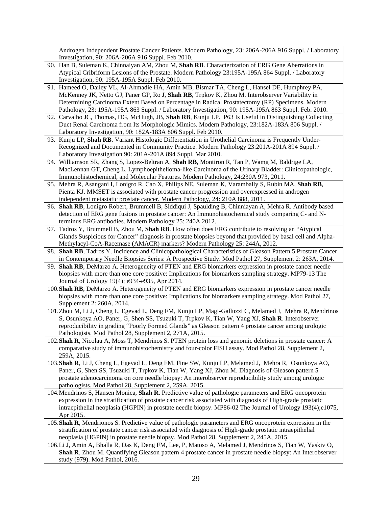Androgen Independent Prostate Cancer Patients. Modern Pathology, 23: 206A-206A 916 Suppl. / Laboratory Investigation, 90: 206A-206A 916 Suppl. Feb 2010.

- 90. Han B, Suleman K, Chinnaiyan AM, Zhou M, **Shah RB**. Characterization of ERG Gene Aberrations in Atypical Cribriform Lesions of the Prostate. Modern Pathology 23:195A-195A 864 Suppl. / Laboratory Investigation, 90: 195A-195A Suppl. Feb 2010.
- 91. Hameed O, Dailey VL, Al-Ahmadie HA, Amin MB, Bismar TA, Cheng L, Hansel DE, Humphrey PA, McKenney JK, Netto GJ, Paner GP, Ro J, **Shah RB**, Trpkov K, Zhou M. Interobserver Variability in Determining Carcinoma Extent Based on Percentage in Radical Prostatectomy (RP) Specimens. Modern Pathology, 23: 195A-195A 863 Suppl. / Laboratory Investigation, 90: 195A-195A 863 Suppl. Feb. 2010.
- 92. Carvalho JC, Thomas, DG, McHugh, JB, **Shah RB**, Kunju LP. P63 Is Useful in Distinguishing Collecting Duct Renal Carcinoma from Its Morphologic Mimics. Modern Pathology, 23:182A-183A 806 Suppl. / Laboratory Investigation, 90: 182A-183A 806 Suppl. Feb 2010.
- 93. Kunju LP, **Shah RB**. Variant Histologic Differentiation in Urothelial Carcinoma is Frequently Under-Recognized and Documented in Community Practice. Modern Pathology 23:201A-201A 894 Suppl. / Laboratory Investigation 90: 201A-201A 894 Suppl. Mar 2010.
- 94. Williamson SR, Zhang S, Lopez-Beltran A, **Shah RB**, Montiron R, Tan P, Wamg M, Baldrige LA, MacLennan GT, Cheng L. Lymphoepithelioma-like Carcinoma of the Urinary Bladder: Clinicopathologic, Immunohistochemical, and Molecular Features. Modern Pathology, 24:230A 973, 2011.
- 95. Mehra R, Asangani I, Lonigro R, Cao X, Philips NE, Suleman K, Varambally S, Rubin MA, **Shah RB**, Pienta KJ. MMSET is associated with prostate cancer progression and overexpressed in androgen independent metastatic prostate cancer. Modern Pathology, 24: 210A 888, 2011.
- 96. **Shah RB**, Lonigro Robert, Brummell B, Siddiqui J, Spaulding B, Chinniayan A, Mehra R. Antibody based detection of ERG gene fusions in prostate cancer: An Immunohistochemical study comparing C- and Nterminus ERG antibodies. Modern Pathology 25: 240A 2012.
- 97. Tadros Y, Brummell B, Zhou M, **Shah RB**. How often does ERG contribute to resolving an "Atypical Glands Suspicious for Cancer" diagnosis in prostate biopsies beyond that provided by basal cell and Alpha-Methylacyl-CoA-Racemase (AMACR) markers? Modern Pathology 25: 244A, 2012.
- 98. **Shah RB**, Tadros Y. Incidence and Clinicopathological Characteristics of Gleason Pattern 5 Prostate Cancer in Contemporary Needle Biopsies Series: A Prospective Study. Mod Pathol 27, Supplement 2: 263A, 2014.
- 99. **Shah RB**, DeMarzo A. Heterogeneity of PTEN and ERG biomarkers expression in prostate cancer needle biopsies with more than one core positive: Implications for biomarkers sampling strategy. MP79-13 The Journal of Urology 19(4); e934-e935, Apr 2014.
- 100.**Shah RB**, DeMarzo A. Heterogeneity of PTEN and ERG biomarkers expression in prostate cancer needle biopsies with more than one core positive: Implications for biomarkers sampling strategy. Mod Pathol 27, Supplement 2: 260A, 2014.
- 101.Zhou M, Li J, Cheng L, Egevad L, Deng FM, Kunju LP, Magi-Galluzzi C, Melamed J, Mehra R, Mendrinos S, Osunkoya AO, Paner, G, Shen SS, Tsuzuki T, Trpkov K, Tian W, Yang XJ, **Shah R**. Interobserver reproducibility in grading "Poorly Formed Glands" as Gleason pattern 4 prostate cancer among urologic Pathologists. Mod Pathol 28, Supplement 2, 271A, 2015.
- 102.**Shah R**, Nicolau A, Moss T, Mendrinos S. PTEN protein loss and genomic deletions in prostate cancer: A comparative study of immunohistochemistry and four-color FISH assay. Mod Pathol 28, Supplement 2, 259A, 2015.
- 103.**Shah R**, Li J, Cheng L, Egevad L, Deng FM, Fine SW, Kunju LP, Melamed J, Mehra R, Osunkoya AO, Paner, G, Shen SS, Tsuzuki T, Trpkov K, Tian W, Yang XJ, Zhou M. Diagnosis of Gleason pattern 5 prostate adenocarcinoma on core needle biopsy: An interobserver reproducibility study among urologic pathologists. Mod Pathol 28, Supplement 2, 259A, 2015.
- 104.Mendrinos S, Hansen Monica, **Shah R**. Predictive value of pathologic parameters and ERG oncoprotein expression in the stratification of prostate cancer risk associated with diagnosis of High-grade prostatic intraepithelial neoplasia (HGPIN) in prostate needle biopsy. MP86-02 The Journal of Urology 193(4);e1075, Apr 2015.
- 105.**Shah R**, Mendrionos S. Predictive value of pathologic parameters and ERG oncoprotein expression in the stratification of prostate cancer risk associated with diagnosis of High-grade prostatic intraepithelial neoplasia (HGPIN) in prostate needle biopsy. Mod Pathol 28, Supplement 2, 245A, 2015.
- 106.Li J, Amin A, Bhalla R, Das K, Deng FM, Lee, P, Matoso A, Melamed J, Mendrinos S, Tian W, Yaskiv O, **Shah R**, Zhou M. Quantifying Gleason pattern 4 prostate cancer in prostate needle biopsy: An Interobserver study (979). Mod Pathol, 2016.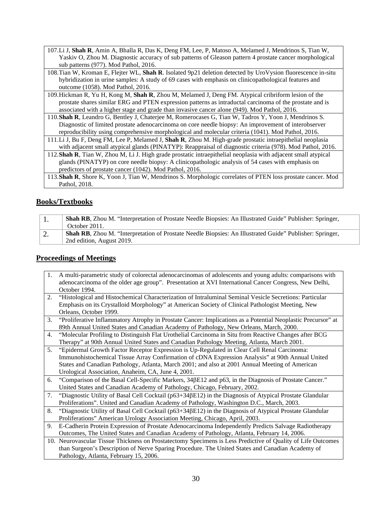107.Li J, **Shah R**, Amin A, Bhalla R, Das K, Deng FM, Lee, P, Matoso A, Melamed J, Mendrinos S, Tian W, Yaskiv O, Zhou M. Diagnostic accuracy of sub patterns of Gleason pattern 4 prostate cancer morphological sub patterns (977). Mod Pathol, 2016.

108.Tian W, Kroman E, Flejter WL, **Shah R**. Isolated 9p21 deletion detected by UroVysion fluorescence in-situ hybridization in urine samples: A study of 69 cases with emphasis on clinicopathological features and outcome (1058). Mod Pathol, 2016.

- 109.Hickman R, Yu H, Kong M, **Shah R**, Zhou M, Melamed J, Deng FM. Atypical cribriform lesion of the prostate shares similar ERG and PTEN expression patterns as intraductal carcinoma of the prostate and is associated with a higher stage and grade than invasive cancer alone (949). Mod Pathol, 2016.
- 110.**Shah R**, Leandro G, Bentley J, Chaterjee M, Romerocases G, Tian W, Tadros Y, Yoon J, Mendrinos S. Diagnostic of limited prostate adenocarcinoma on core needle biopsy: An improvement of interobserver reproducibility using comprehensive morphological and molecular criteria (1041). Mod Pathol, 2016.
- 111.Li J, Bu F, Deng FM, Lee P, Melamed J, **Shah R**, Zhou M. High-grade prostatic intraepithelial neoplasia with adjacent small atypical glands (PINATYP): Reappraisal of diagnostic criteria (978). Mod Pathol, 2016.
- 112.**Shah R**, Tian W, Zhou M, Li J. High grade prostatic intraepithelial neoplasia with adjacent small atypical glands (PINATYP) on core needle biopsy: A clinicopathologic analysis of 54 cases with emphasis on predictors of prostate cancer (1042). Mod Pathol, 2016.
- 113.**Shah R**, Shore K, Yoon J, Tian W, Mendrinos S. Morphologic correlates of PTEN loss prostate cancer. Mod Pathol, 2018.

## **Books/Textbooks**

|    | <b>Shah RB,</b> Zhou M. "Interpretation of Prostate Needle Biopsies: An Illustrated Guide" Publisher: Springer, |
|----|-----------------------------------------------------------------------------------------------------------------|
|    | October 2011.                                                                                                   |
| Ź. | <b>Shah RB,</b> Zhou M. "Interpretation of Prostate Needle Biopsies: An Illustrated Guide" Publisher: Springer, |
|    | 2nd edition, August 2019.                                                                                       |

### **Proceedings of Meetings**

- 1. A multi-parametric study of colorectal adenocarcinomas of adolescents and young adults: comparisons with adenocarcinoma of the older age group". Presentation at XVI International Cancer Congress, New Delhi, October 1994.
- 2. "Histological and Histochemical Characterization of Intraluminal Seminal Vesicle Secretions: Particular Emphasis on its Crystalloid Morphology" at American Society of Clinical Pathologist Meeting, New Orleans, October 1999.
- 3. "Proliferative Inflammatory Atrophy in Prostate Cancer: Implications as a Potential Neoplastic Precursor" at 89th Annual United States and Canadian Academy of Pathology, New Orleans, March, 2000.
- 4. "Molecular Profiling to Distinguish Flat Urothelial Carcinoma in Situ from Reactive Changes after BCG Therapy" at 90th Annual United States and Canadian Pathology Meeting, Atlanta, March 2001.
- 5. "Epidermal Growth Factor Receptor Expression is Up-Regulated in Clear Cell Renal Carcinoma: Immunohistochemical Tissue Array Confirmation of cDNA Expression Analysis" at 90th Annual United States and Canadian Pathology, Atlanta, March 2001; and also at 2001 Annual Meeting of American Urological Association, Anaheim, CA, June 4, 2001.
- 6. "Comparison of the Basal Cell-Specific Markers, 34βE12 and p63, in the Diagnosis of Prostate Cancer." United States and Canadian Academy of Pathology, Chicago, February, 2002.
- 7. "Diagnostic Utility of Basal Cell Cocktail (p63+34 $\beta$ E12) in the Diagnosis of Atypical Prostate Glandular Proliferations". United and Canadian Academy of Pathology, Washington D.C., March, 2003.
- 8. "Diagnostic Utility of Basal Cell Cocktail (p63+34βE12) in the Diagnosis of Atypical Prostate Glandular Proliferations" American Urology Association Meeting, Chicago, April, 2003.
- 9. E-Cadherin Protein Expression of Prostate Adenocarcinoma Independently Predicts Salvage Radiotherapy Outcomes, The United States and Canadian Academy of Pathology, Atlanta, February 14, 2006.
- 10. Neurovascular Tissue Thickness on Prostatectomy Specimens is Less Predictive of Quality of Life Outcomes than Surgeon's Description of Nerve Sparing Procedure. The United States and Canadian Academy of Pathology, Atlanta, February 15, 2006.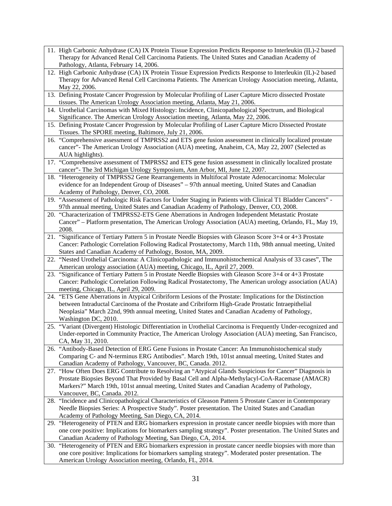- 11. High Carbonic Anhydrase (CA) IX Protein Tissue Expression Predicts Response to Interleukin (IL)-2 based Therapy for Advanced Renal Cell Carcinoma Patients. The United States and Canadian Academy of Pathology, Atlanta, February 14, 2006.
- 12. High Carbonic Anhydrase (CA) IX Protein Tissue Expression Predicts Response to Interleukin (IL)-2 based Therapy for Advanced Renal Cell Carcinoma Patients. The American Urology Association meeting, Atlanta, May 22, 2006.
- 13. Defining Prostate Cancer Progression by Molecular Profiling of Laser Capture Micro dissected Prostate tissues. The American Urology Association meeting, Atlanta, May 21, 2006.
- 14. Urothelial Carcinomas with Mixed Histology: Incidence, Clinicopathological Spectrum, and Biological Significance. The American Urology Association meeting, Atlanta, May 22, 2006.
- 15. Defining Prostate Cancer Progression by Molecular Profiling of Laser Capture Micro Dissected Prostate Tissues. The SPORE meeting, Baltimore, July 21, 2006.
- 16. "Comprehensive assessment of TMPRSS2 and ETS gene fusion assessment in clinically localized prostate cancer"- The American Urology Association (AUA) meeting, Anaheim, CA, May 22, 2007 (Selected as AUA highlights).
- 17. "Comprehensive assessment of TMPRSS2 and ETS gene fusion assessment in clinically localized prostate cancer"- The 3rd Michigan Urology Symposium, Ann Arbor, MI, June 12, 2007.
- 18. "Heterogeneity of TMPRSS2 Gene Rearrangements in Multifocal Prostate Adenocarcinoma: Molecular evidence for an Independent Group of Diseases" – 97th annual meeting, United States and Canadian Academy of Pathology, Denver, CO, 2008.
- 19. "Assessment of Pathologic Risk Factors for Under Staging in Patients with Clinical T1 Bladder Cancers" 97th annual meeting, United States and Canadian Academy of Pathology, Denver, CO, 2008.
- 20. "Characterization of TMPRSS2-ETS Gene Aberrations in Androgen Independent Metastatic Prostate Cancer" – Platform presentation, The American Urology Association (AUA) meeting, Orlando, FL, May 19, 2008.
- 21. "Significance of Tertiary Pattern 5 in Prostate Needle Biopsies with Gleason Score 3+4 or 4+3 Prostate Cancer: Pathologic Correlation Following Radical Prostatectomy, March 11th, 98th annual meeting, United States and Canadian Academy of Pathology, Boston, MA, 2009.
- 22. "Nested Urothelial Carcinoma: A Clinicopathologic and Immunohistochemical Analysis of 33 cases", The American urology association (AUA) meeting, Chicago, IL, April 27, 2009.
- 23. "Significance of Tertiary Pattern 5 in Prostate Needle Biopsies with Gleason Score 3+4 or 4+3 Prostate Cancer: Pathologic Correlation Following Radical Prostatectomy, The American urology association (AUA) meeting, Chicago, IL, April 29, 2009.
- 24. "ETS Gene Aberrations in Atypical Cribriform Lesions of the Prostate: Implications for the Distinction between Intraductal Carcinoma of the Prostate and Cribriform High-Grade Prostatic Intraepithelial Neoplasia" March 22nd, 99th annual meeting, United States and Canadian Academy of Pathology, Washington DC, 2010.
- 25. "Variant (Divergent) Histologic Differentiation in Urothelial Carcinoma is Frequently Under-recognized and Under-reported in Community Practice, The American Urology Association (AUA) meeting, San Francisco, CA, May 31, 2010.
- 26. "Antibody-Based Detection of ERG Gene Fusions in Prostate Cancer: An Immunohistochemical study Comparing C- and N-terminus ERG Antibodies". March 19th, 101st annual meeting, United States and Canadian Academy of Pathology, Vancouver, BC, Canada. 2012.
- 27. "How Often Does ERG Contribute to Resolving an "Atypical Glands Suspicious for Cancer" Diagnosis in Prostate Biopsies Beyond That Provided by Basal Cell and Alpha-Methylacyl-CoA-Racemase (AMACR) Markers?" March 19th, 101st annual meeting, United States and Canadian Academy of Pathology, Vancouver, BC, Canada. 2012.
- 28. "Incidence and Clinicopathological Characteristics of Gleason Pattern 5 Prostate Cancer in Contemporary Needle Biopsies Series: A Prospective Study". Poster presentation. The United States and Canadian Academy of Pathology Meeting, San Diego, CA, 2014.
- 29. "Heterogeneity of PTEN and ERG biomarkers expression in prostate cancer needle biopsies with more than one core positive: Implications for biomarkers sampling strategy". Poster presentation. The United States and Canadian Academy of Pathology Meeting, San Diego, CA, 2014.
- 30. "Heterogeneity of PTEN and ERG biomarkers expression in prostate cancer needle biopsies with more than one core positive: Implications for biomarkers sampling strategy". Moderated poster presentation. The American Urology Association meeting, Orlando, FL, 2014.